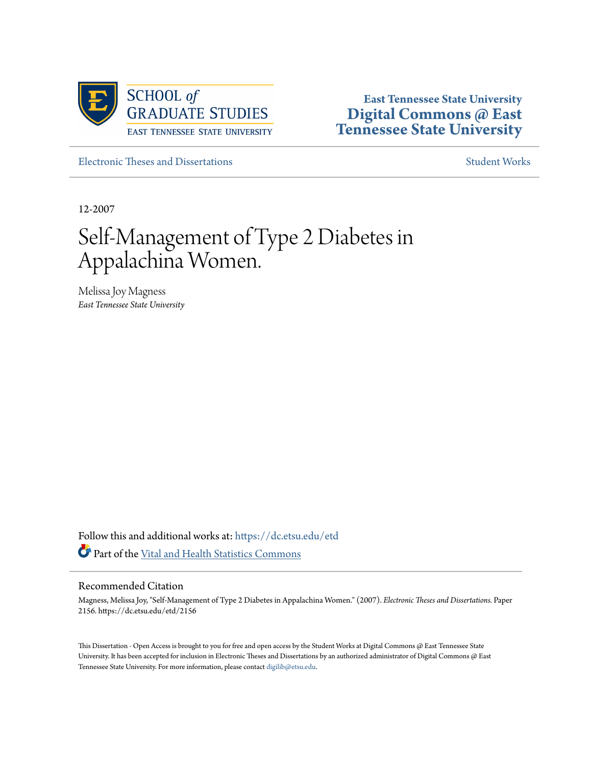

**East Tennessee State University [Digital Commons @ East](https://dc.etsu.edu?utm_source=dc.etsu.edu%2Fetd%2F2156&utm_medium=PDF&utm_campaign=PDFCoverPages) [Tennessee State University](https://dc.etsu.edu?utm_source=dc.etsu.edu%2Fetd%2F2156&utm_medium=PDF&utm_campaign=PDFCoverPages)**

[Electronic Theses and Dissertations](https://dc.etsu.edu/etd?utm_source=dc.etsu.edu%2Fetd%2F2156&utm_medium=PDF&utm_campaign=PDFCoverPages) [Student Works](https://dc.etsu.edu/student-works?utm_source=dc.etsu.edu%2Fetd%2F2156&utm_medium=PDF&utm_campaign=PDFCoverPages) Student Works Student Works

12-2007

# Self-Management of Type 2 Diabetes in Appalachina Women.

Melissa Joy Magness *East Tennessee State University*

Follow this and additional works at: [https://dc.etsu.edu/etd](https://dc.etsu.edu/etd?utm_source=dc.etsu.edu%2Fetd%2F2156&utm_medium=PDF&utm_campaign=PDFCoverPages) Part of the [Vital and Health Statistics Commons](http://network.bepress.com/hgg/discipline/826?utm_source=dc.etsu.edu%2Fetd%2F2156&utm_medium=PDF&utm_campaign=PDFCoverPages)

## Recommended Citation

Magness, Melissa Joy, "Self-Management of Type 2 Diabetes in Appalachina Women." (2007). *Electronic Theses and Dissertations.* Paper 2156. https://dc.etsu.edu/etd/2156

This Dissertation - Open Access is brought to you for free and open access by the Student Works at Digital Commons @ East Tennessee State University. It has been accepted for inclusion in Electronic Theses and Dissertations by an authorized administrator of Digital Commons @ East Tennessee State University. For more information, please contact [digilib@etsu.edu.](mailto:digilib@etsu.edu)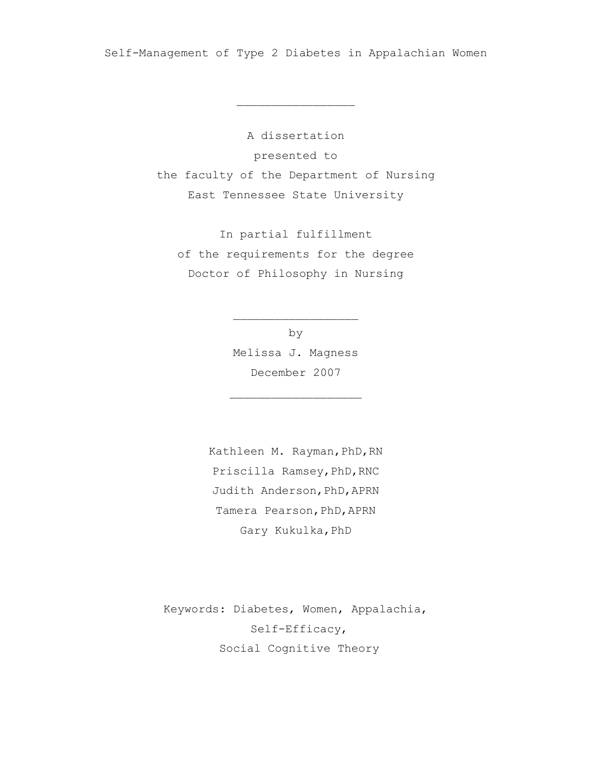Self-Management of Type 2 Diabetes in Appalachian Women

 $\overline{\phantom{a}}$  , where  $\overline{\phantom{a}}$  , where  $\overline{\phantom{a}}$  , where  $\overline{\phantom{a}}$ 

A dissertation presented to the faculty of the Department of Nursing East Tennessee State University

In partial fulfillment of the requirements for the degree Doctor of Philosophy in Nursing

> by Melissa J. Magness December 2007

 $\overline{\phantom{a}}$  , where  $\overline{\phantom{a}}$  , where  $\overline{\phantom{a}}$  , where  $\overline{\phantom{a}}$ 

 $\overline{\phantom{a}}$  , where  $\overline{\phantom{a}}$  , where  $\overline{\phantom{a}}$  , where  $\overline{\phantom{a}}$ 

Kathleen M. Rayman, PhD, RN Priscilla Ramsey, PhD, RNC Judith Anderson, PhD, APRN Tamera Pearson, PhD, APRN Gary Kukulka,PhD

Keywords: Diabetes, Women, Appalachia, Self-Efficacy, Social Cognitive Theory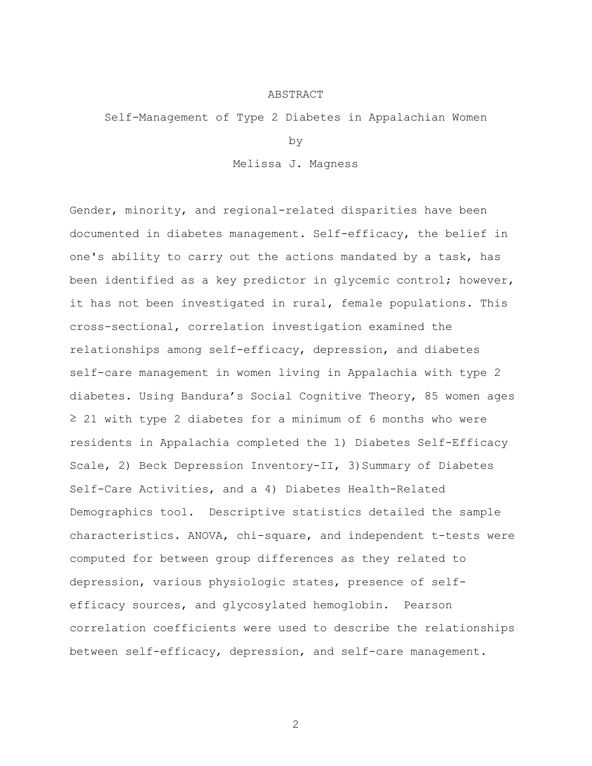#### ABSTRACT

Self-Management of Type 2 Diabetes in Appalachian Women

by

Melissa J. Magness

Gender, minority, and regional-related disparities have been documented in diabetes management. Self-efficacy, the belief in one's ability to carry out the actions mandated by a task, has been identified as a key predictor in glycemic control; however, it has not been investigated in rural, female populations. This cross-sectional, correlation investigation examined the relationships among self-efficacy, depression, and diabetes self-care management in women living in Appalachia with type 2 diabetes. Using Bandura's Social Cognitive Theory, 85 women ages  $\geq$  21 with type 2 diabetes for a minimum of 6 months who were residents in Appalachia completed the 1) Diabetes Self-Efficacy Scale, 2) Beck Depression Inventory-II, 3)Summary of Diabetes Self-Care Activities, and a 4) Diabetes Health-Related Demographics tool. Descriptive statistics detailed the sample characteristics. ANOVA, chi-square, and independent t-tests were computed for between group differences as they related to depression, various physiologic states, presence of selfefficacy sources, and glycosylated hemoglobin. Pearson correlation coefficients were used to describe the relationships between self-efficacy, depression, and self-care management.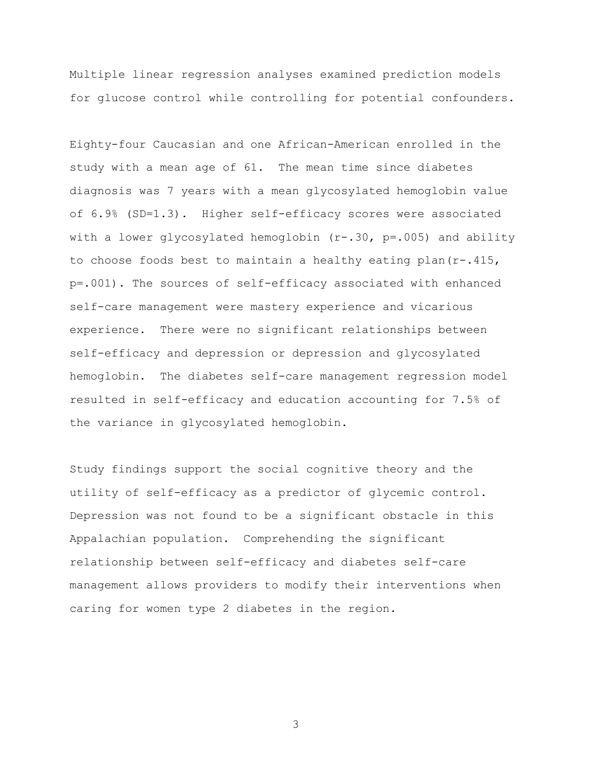Multiple linear regression analyses examined prediction models for glucose control while controlling for potential confounders.

Eighty-four Caucasian and one African-American enrolled in the study with a mean age of 61. The mean time since diabetes diagnosis was 7 years with a mean glycosylated hemoglobin value of 6.9% (SD=1.3). Higher self-efficacy scores were associated with a lower glycosylated hemoglobin  $(r-.30, p=.005)$  and ability to choose foods best to maintain a healthy eating plan(r-.415, p=.001). The sources of self-efficacy associated with enhanced self-care management were mastery experience and vicarious experience. There were no significant relationships between self-efficacy and depression or depression and glycosylated hemoglobin. The diabetes self-care management regression model resulted in self-efficacy and education accounting for 7.5% of the variance in glycosylated hemoglobin.

Study findings support the social cognitive theory and the utility of self-efficacy as a predictor of glycemic control. Depression was not found to be a significant obstacle in this Appalachian population. Comprehending the significant relationship between self-efficacy and diabetes self-care management allows providers to modify their interventions when caring for women type 2 diabetes in the region.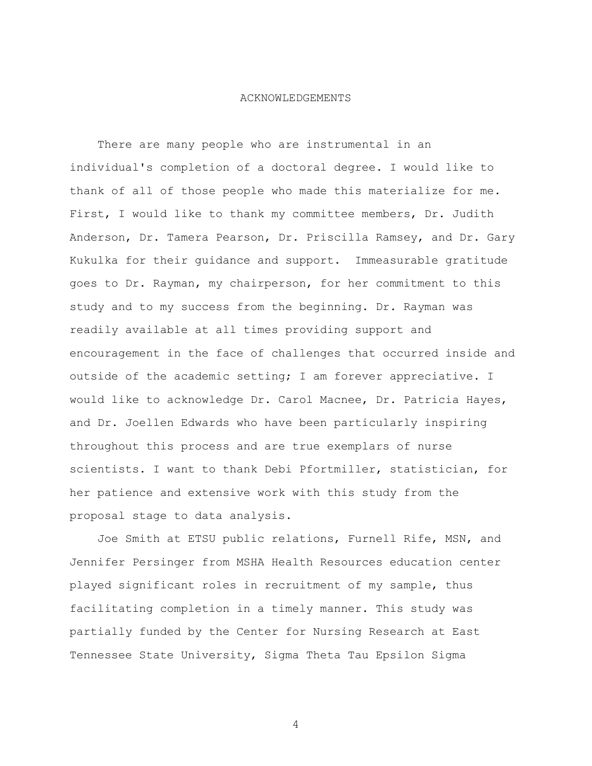#### ACKNOWLEDGEMENTS

 There are many people who are instrumental in an individual's completion of a doctoral degree. I would like to thank of all of those people who made this materialize for me. First, I would like to thank my committee members, Dr. Judith Anderson, Dr. Tamera Pearson, Dr. Priscilla Ramsey, and Dr. Gary Kukulka for their guidance and support. Immeasurable gratitude goes to Dr. Rayman, my chairperson, for her commitment to this study and to my success from the beginning. Dr. Rayman was readily available at all times providing support and encouragement in the face of challenges that occurred inside and outside of the academic setting; I am forever appreciative. I would like to acknowledge Dr. Carol Macnee, Dr. Patricia Hayes, and Dr. Joellen Edwards who have been particularly inspiring throughout this process and are true exemplars of nurse scientists. I want to thank Debi Pfortmiller, statistician, for her patience and extensive work with this study from the proposal stage to data analysis.

 Joe Smith at ETSU public relations, Furnell Rife, MSN, and Jennifer Persinger from MSHA Health Resources education center played significant roles in recruitment of my sample, thus facilitating completion in a timely manner. This study was partially funded by the Center for Nursing Research at East Tennessee State University, Sigma Theta Tau Epsilon Sigma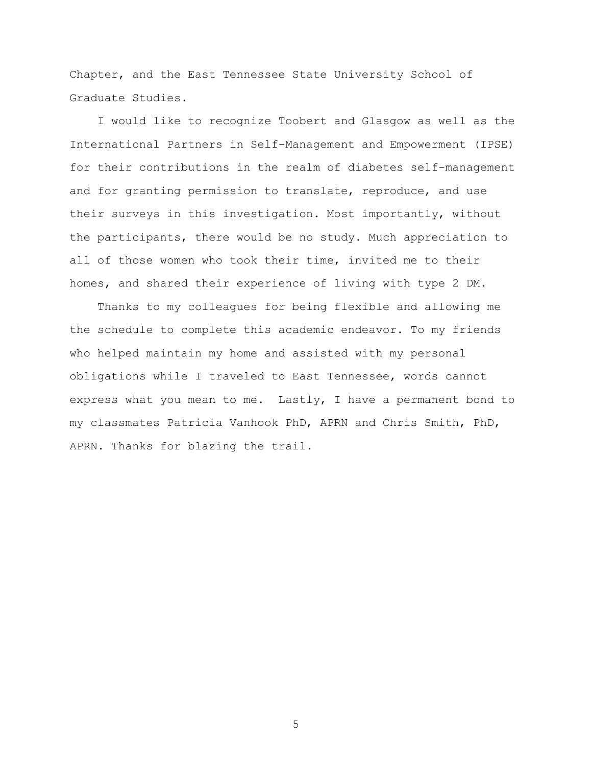Chapter, and the East Tennessee State University School of Graduate Studies.

 I would like to recognize Toobert and Glasgow as well as the International Partners in Self-Management and Empowerment (IPSE) for their contributions in the realm of diabetes self-management and for granting permission to translate, reproduce, and use their surveys in this investigation. Most importantly, without the participants, there would be no study. Much appreciation to all of those women who took their time, invited me to their homes, and shared their experience of living with type 2 DM.

 Thanks to my colleagues for being flexible and allowing me the schedule to complete this academic endeavor. To my friends who helped maintain my home and assisted with my personal obligations while I traveled to East Tennessee, words cannot express what you mean to me. Lastly, I have a permanent bond to my classmates Patricia Vanhook PhD, APRN and Chris Smith, PhD, APRN. Thanks for blazing the trail.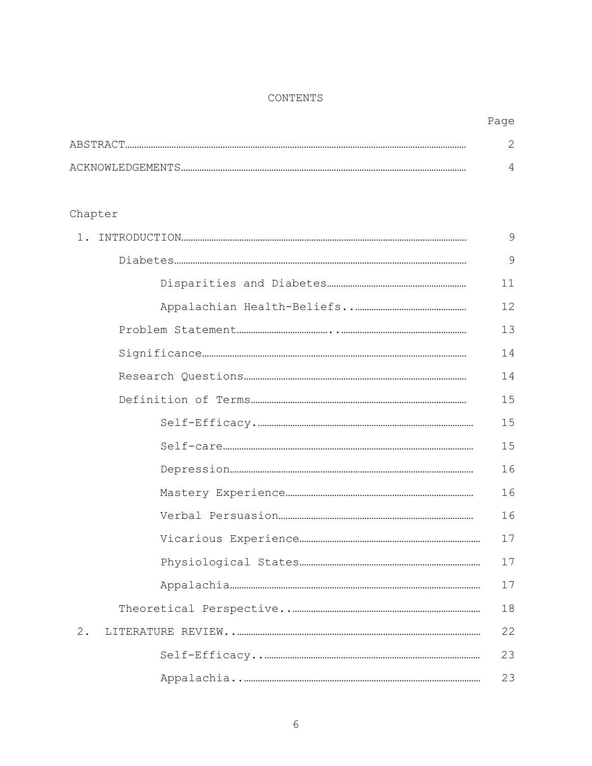## CONTENTS

| ABSTRACT         |  |
|------------------|--|
|                  |  |
| ACKNOWLEDGEMENTS |  |

# Chapter

| $1$ . | 9  |
|-------|----|
|       | 9  |
|       | 11 |
|       | 12 |
|       | 13 |
|       | 14 |
|       | 14 |
|       | 15 |
|       | 15 |
|       | 15 |
|       | 16 |
|       | 16 |
|       | 16 |
|       | 17 |
|       | 17 |
|       | 17 |
|       | 18 |
| $2$ . | 22 |
|       | 23 |
|       | 23 |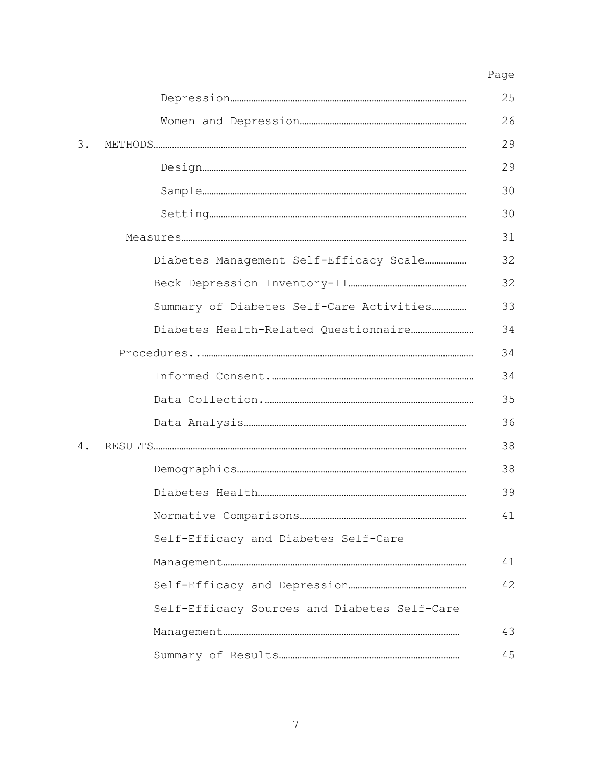## Page and the state of the state of the state of the state of the state of the state of the state of the state of the state of the state of the state of the state of the state of the state of the state of the state of the s

|    |  |                                              | 25 |  |  |
|----|--|----------------------------------------------|----|--|--|
|    |  |                                              | 26 |  |  |
| 3. |  |                                              | 29 |  |  |
|    |  |                                              | 29 |  |  |
|    |  |                                              | 30 |  |  |
|    |  |                                              | 30 |  |  |
|    |  |                                              |    |  |  |
|    |  | Diabetes Management Self-Efficacy Scale      | 32 |  |  |
|    |  |                                              | 32 |  |  |
|    |  | Summary of Diabetes Self-Care Activities     | 33 |  |  |
|    |  |                                              | 34 |  |  |
|    |  |                                              |    |  |  |
|    |  |                                              | 34 |  |  |
|    |  |                                              | 35 |  |  |
|    |  |                                              | 36 |  |  |
| 4. |  |                                              | 38 |  |  |
|    |  |                                              | 38 |  |  |
|    |  |                                              | 39 |  |  |
|    |  |                                              | 41 |  |  |
|    |  | Self-Efficacy and Diabetes Self-Care         |    |  |  |
|    |  |                                              | 41 |  |  |
|    |  |                                              | 42 |  |  |
|    |  | Self-Efficacy Sources and Diabetes Self-Care |    |  |  |
|    |  |                                              | 43 |  |  |
|    |  |                                              | 45 |  |  |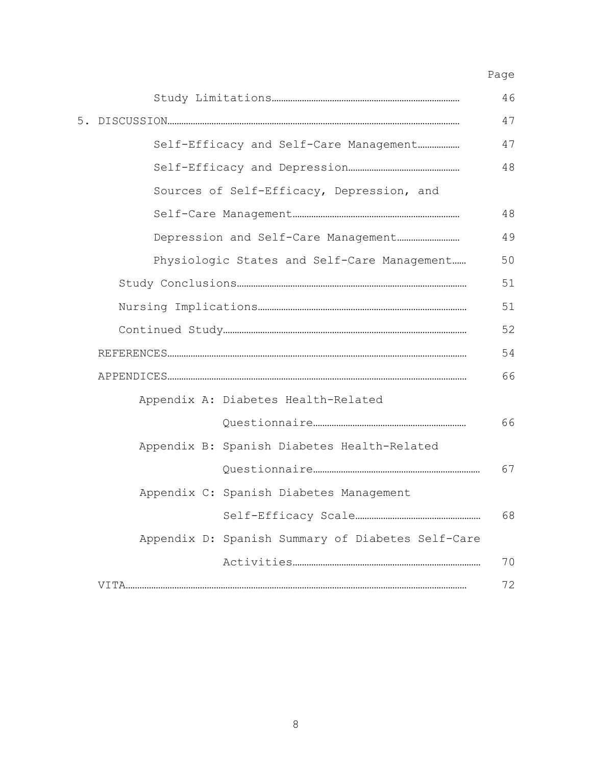Page and the state of the state of the state of the state of the state of the state of the state of the state of the state of the state of the state of the state of the state of the state of the state of the state of the s

|                                           |  |                                                   | 46 |  |
|-------------------------------------------|--|---------------------------------------------------|----|--|
|                                           |  |                                                   | 47 |  |
|                                           |  | Self-Efficacy and Self-Care Management            | 47 |  |
|                                           |  |                                                   | 48 |  |
| Sources of Self-Efficacy, Depression, and |  |                                                   |    |  |
|                                           |  |                                                   | 48 |  |
|                                           |  |                                                   | 49 |  |
|                                           |  | Physiologic States and Self-Care Management       | 50 |  |
|                                           |  |                                                   |    |  |
|                                           |  |                                                   |    |  |
|                                           |  |                                                   |    |  |
|                                           |  |                                                   | 54 |  |
|                                           |  |                                                   | 66 |  |
|                                           |  | Appendix A: Diabetes Health-Related               |    |  |
|                                           |  |                                                   | 66 |  |
|                                           |  | Appendix B: Spanish Diabetes Health-Related       |    |  |
|                                           |  |                                                   | 67 |  |
|                                           |  | Appendix C: Spanish Diabetes Management           |    |  |
|                                           |  |                                                   | 68 |  |
|                                           |  | Appendix D: Spanish Summary of Diabetes Self-Care |    |  |
|                                           |  |                                                   | 70 |  |
|                                           |  |                                                   | 72 |  |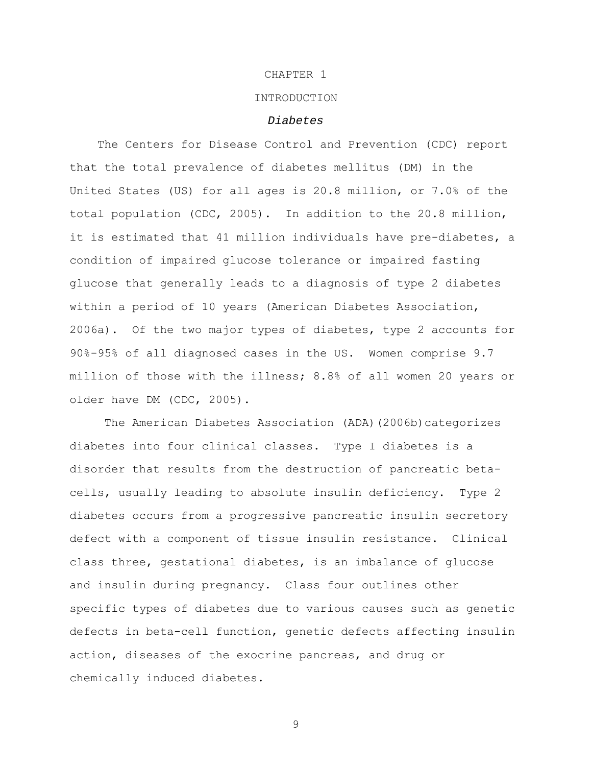## CHAPTER 1

## INTRODUCTION

#### *Diabetes*

 The Centers for Disease Control and Prevention (CDC) report that the total prevalence of diabetes mellitus (DM) in the United States (US) for all ages is 20.8 million, or 7.0% of the total population (CDC, 2005). In addition to the 20.8 million, it is estimated that 41 million individuals have pre-diabetes, a condition of impaired glucose tolerance or impaired fasting glucose that generally leads to a diagnosis of type 2 diabetes within a period of 10 years (American Diabetes Association, 2006a). Of the two major types of diabetes, type 2 accounts for 90%-95% of all diagnosed cases in the US. Women comprise 9.7 million of those with the illness; 8.8% of all women 20 years or older have DM (CDC, 2005).

The American Diabetes Association (ADA)(2006b)categorizes diabetes into four clinical classes. Type I diabetes is a disorder that results from the destruction of pancreatic betacells, usually leading to absolute insulin deficiency. Type 2 diabetes occurs from a progressive pancreatic insulin secretory defect with a component of tissue insulin resistance. Clinical class three, gestational diabetes, is an imbalance of glucose and insulin during pregnancy. Class four outlines other specific types of diabetes due to various causes such as genetic defects in beta-cell function, genetic defects affecting insulin action, diseases of the exocrine pancreas, and drug or chemically induced diabetes.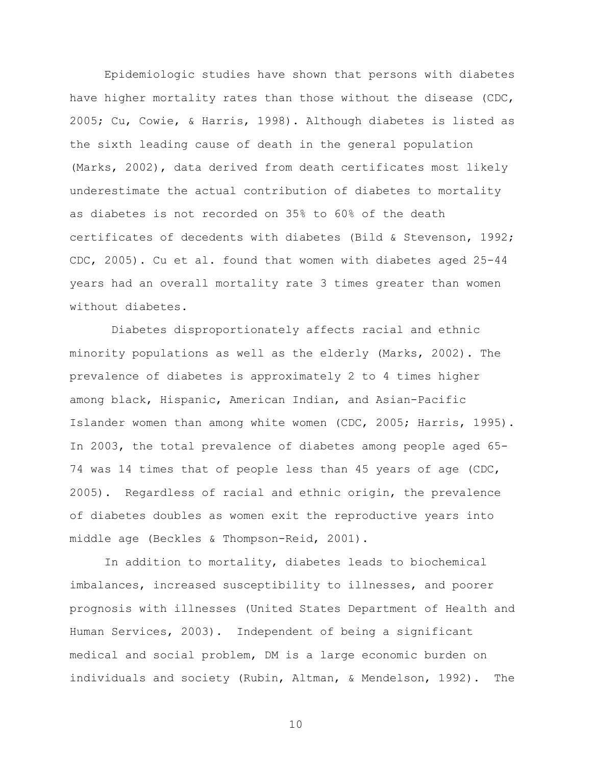Epidemiologic studies have shown that persons with diabetes have higher mortality rates than those without the disease (CDC, 2005; Cu, Cowie, & Harris, 1998). Although diabetes is listed as the sixth leading cause of death in the general population (Marks, 2002), data derived from death certificates most likely underestimate the actual contribution of diabetes to mortality as diabetes is not recorded on 35% to 60% of the death certificates of decedents with diabetes (Bild & Stevenson, 1992; CDC, 2005). Cu et al. found that women with diabetes aged 25-44 years had an overall mortality rate 3 times greater than women without diabetes.

 Diabetes disproportionately affects racial and ethnic minority populations as well as the elderly (Marks, 2002). The prevalence of diabetes is approximately 2 to 4 times higher among black, Hispanic, American Indian, and Asian-Pacific Islander women than among white women (CDC, 2005; Harris, 1995). In 2003, the total prevalence of diabetes among people aged 65- 74 was 14 times that of people less than 45 years of age (CDC, 2005). Regardless of racial and ethnic origin, the prevalence of diabetes doubles as women exit the reproductive years into middle age (Beckles & Thompson-Reid, 2001).

In addition to mortality, diabetes leads to biochemical imbalances, increased susceptibility to illnesses, and poorer prognosis with illnesses (United States Department of Health and Human Services, 2003). Independent of being a significant medical and social problem, DM is a large economic burden on individuals and society (Rubin, Altman, & Mendelson, 1992). The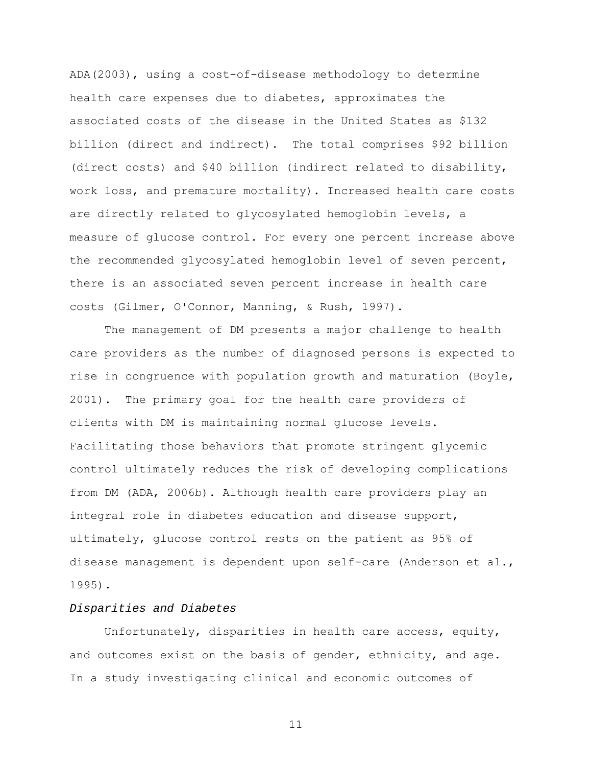ADA(2003), using a cost-of-disease methodology to determine health care expenses due to diabetes, approximates the associated costs of the disease in the United States as \$132 billion (direct and indirect). The total comprises \$92 billion (direct costs) and \$40 billion (indirect related to disability, work loss, and premature mortality). Increased health care costs are directly related to glycosylated hemoglobin levels, a measure of glucose control. For every one percent increase above the recommended glycosylated hemoglobin level of seven percent, there is an associated seven percent increase in health care costs (Gilmer, O'Connor, Manning, & Rush, 1997).

The management of DM presents a major challenge to health care providers as the number of diagnosed persons is expected to rise in congruence with population growth and maturation (Boyle, 2001). The primary goal for the health care providers of clients with DM is maintaining normal glucose levels. Facilitating those behaviors that promote stringent glycemic control ultimately reduces the risk of developing complications from DM (ADA, 2006b). Although health care providers play an integral role in diabetes education and disease support, ultimately, glucose control rests on the patient as 95% of disease management is dependent upon self-care (Anderson et al., 1995).

## *Disparities and Diabetes*

Unfortunately, disparities in health care access, equity, and outcomes exist on the basis of gender, ethnicity, and age. In a study investigating clinical and economic outcomes of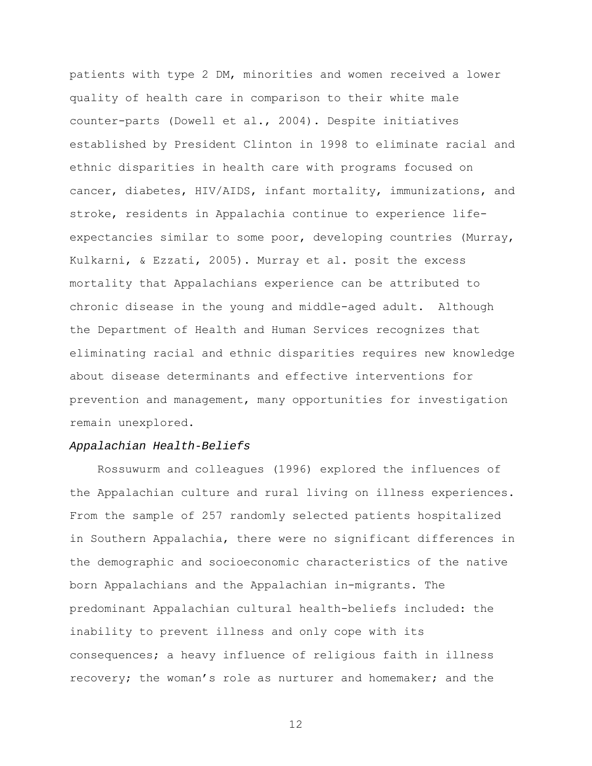patients with type 2 DM, minorities and women received a lower quality of health care in comparison to their white male counter-parts (Dowell et al., 2004). Despite initiatives established by President Clinton in 1998 to eliminate racial and ethnic disparities in health care with programs focused on cancer, diabetes, HIV/AIDS, infant mortality, immunizations, and stroke, residents in Appalachia continue to experience lifeexpectancies similar to some poor, developing countries (Murray, Kulkarni, & Ezzati, 2005). Murray et al. posit the excess mortality that Appalachians experience can be attributed to chronic disease in the young and middle-aged adult. Although the Department of Health and Human Services recognizes that eliminating racial and ethnic disparities requires new knowledge about disease determinants and effective interventions for prevention and management, many opportunities for investigation remain unexplored.

## *Appalachian Health-Beliefs*

 Rossuwurm and colleagues (1996) explored the influences of the Appalachian culture and rural living on illness experiences. From the sample of 257 randomly selected patients hospitalized in Southern Appalachia, there were no significant differences in the demographic and socioeconomic characteristics of the native born Appalachians and the Appalachian in-migrants. The predominant Appalachian cultural health-beliefs included: the inability to prevent illness and only cope with its consequences; a heavy influence of religious faith in illness recovery; the woman's role as nurturer and homemaker; and the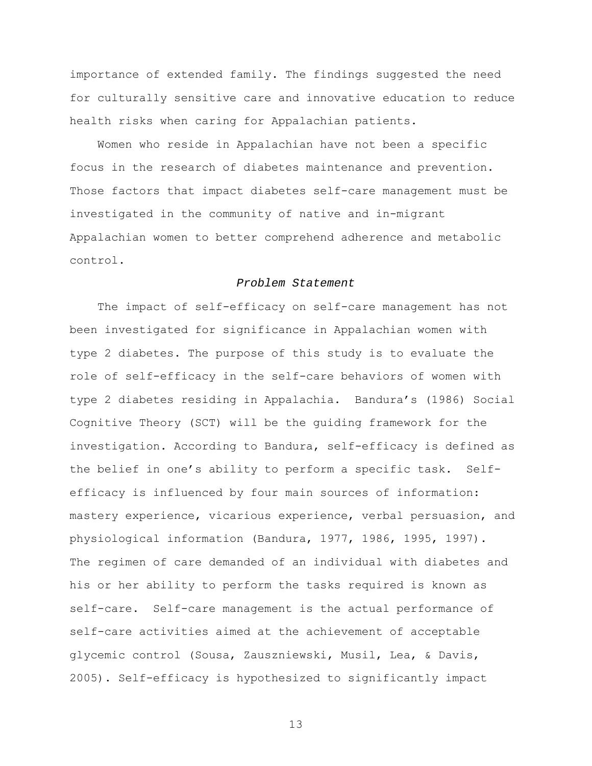importance of extended family. The findings suggested the need for culturally sensitive care and innovative education to reduce health risks when caring for Appalachian patients.

 Women who reside in Appalachian have not been a specific focus in the research of diabetes maintenance and prevention. Those factors that impact diabetes self-care management must be investigated in the community of native and in-migrant Appalachian women to better comprehend adherence and metabolic control.

#### *Problem Statement*

The impact of self-efficacy on self-care management has not been investigated for significance in Appalachian women with type 2 diabetes. The purpose of this study is to evaluate the role of self-efficacy in the self-care behaviors of women with type 2 diabetes residing in Appalachia. Bandura's (1986) Social Cognitive Theory (SCT) will be the guiding framework for the investigation. According to Bandura, self-efficacy is defined as the belief in one's ability to perform a specific task. Selfefficacy is influenced by four main sources of information: mastery experience, vicarious experience, verbal persuasion, and physiological information (Bandura, 1977, 1986, 1995, 1997). The regimen of care demanded of an individual with diabetes and his or her ability to perform the tasks required is known as self-care. Self-care management is the actual performance of self-care activities aimed at the achievement of acceptable glycemic control (Sousa, Zauszniewski, Musil, Lea, & Davis, 2005). Self-efficacy is hypothesized to significantly impact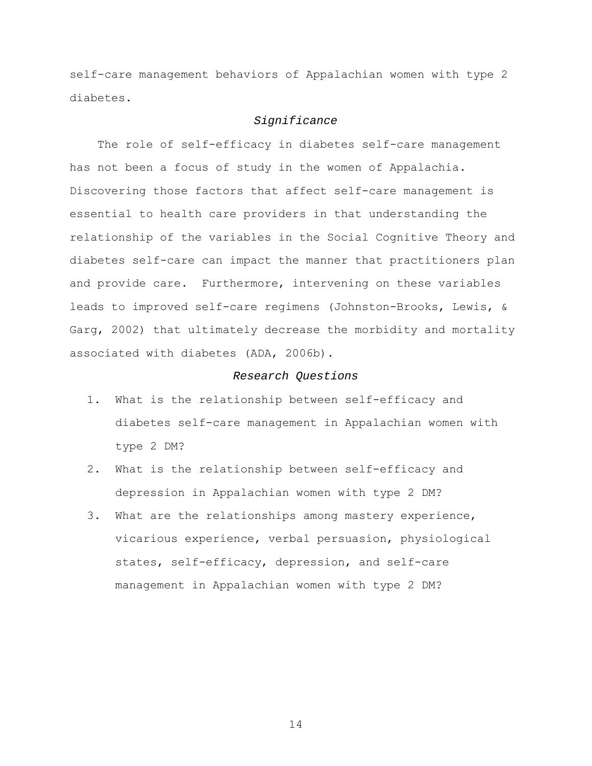self-care management behaviors of Appalachian women with type 2 diabetes.

#### *Significance*

The role of self-efficacy in diabetes self-care management has not been a focus of study in the women of Appalachia. Discovering those factors that affect self-care management is essential to health care providers in that understanding the relationship of the variables in the Social Cognitive Theory and diabetes self-care can impact the manner that practitioners plan and provide care. Furthermore, intervening on these variables leads to improved self-care regimens (Johnston-Brooks, Lewis, & Garg, 2002) that ultimately decrease the morbidity and mortality associated with diabetes (ADA, 2006b).

## *Research Questions*

- 1. What is the relationship between self-efficacy and diabetes self-care management in Appalachian women with type 2 DM?
- 2. What is the relationship between self-efficacy and depression in Appalachian women with type 2 DM?
- 3. What are the relationships among mastery experience, vicarious experience, verbal persuasion, physiological states, self-efficacy, depression, and self-care management in Appalachian women with type 2 DM?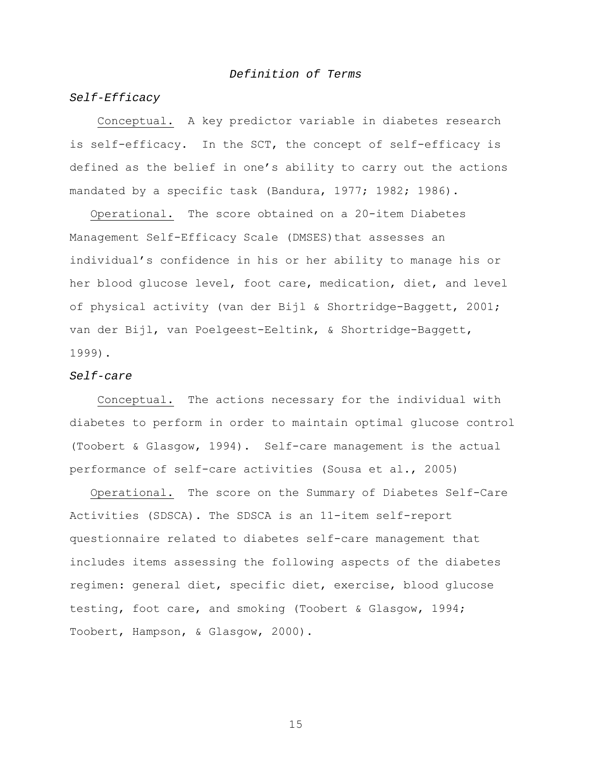## *Definition of Terms*

## *Self-Efficacy*

Conceptual. A key predictor variable in diabetes research is self-efficacy. In the SCT, the concept of self-efficacy is defined as the belief in one's ability to carry out the actions mandated by a specific task (Bandura, 1977; 1982; 1986).

 Operational. The score obtained on a 20-item Diabetes Management Self-Efficacy Scale (DMSES)that assesses an individual's confidence in his or her ability to manage his or her blood glucose level, foot care, medication, diet, and level of physical activity (van der Bijl & Shortridge-Baggett, 2001; van der Bijl, van Poelgeest-Eeltink, & Shortridge-Baggett, 1999).

#### *Self-care*

Conceptual. The actions necessary for the individual with diabetes to perform in order to maintain optimal glucose control (Toobert & Glasgow, 1994). Self-care management is the actual performance of self-care activities (Sousa et al., 2005)

 Operational. The score on the Summary of Diabetes Self-Care Activities (SDSCA). The SDSCA is an 11-item self-report questionnaire related to diabetes self-care management that includes items assessing the following aspects of the diabetes regimen: general diet, specific diet, exercise, blood glucose testing, foot care, and smoking (Toobert & Glasgow, 1994; Toobert, Hampson, & Glasgow, 2000).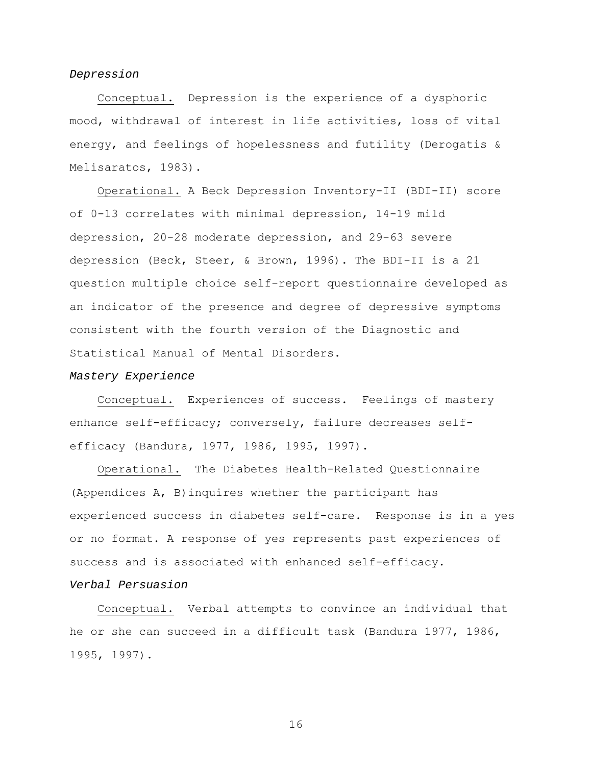## *Depression*

Conceptual. Depression is the experience of a dysphoric mood, withdrawal of interest in life activities, loss of vital energy, and feelings of hopelessness and futility (Derogatis & Melisaratos, 1983).

Operational. A Beck Depression Inventory-II (BDI-II) score of 0-13 correlates with minimal depression, 14-19 mild depression, 20-28 moderate depression, and 29-63 severe depression (Beck, Steer, & Brown, 1996). The BDI-II is a 21 question multiple choice self-report questionnaire developed as an indicator of the presence and degree of depressive symptoms consistent with the fourth version of the Diagnostic and Statistical Manual of Mental Disorders.

#### *Mastery Experience*

Conceptual. Experiences of success. Feelings of mastery enhance self-efficacy; conversely, failure decreases selfefficacy (Bandura, 1977, 1986, 1995, 1997).

Operational. The Diabetes Health-Related Questionnaire (Appendices A, B)inquires whether the participant has experienced success in diabetes self-care. Response is in a yes or no format. A response of yes represents past experiences of success and is associated with enhanced self-efficacy. *Verbal Persuasion* 

Conceptual. Verbal attempts to convince an individual that he or she can succeed in a difficult task (Bandura 1977, 1986, 1995, 1997).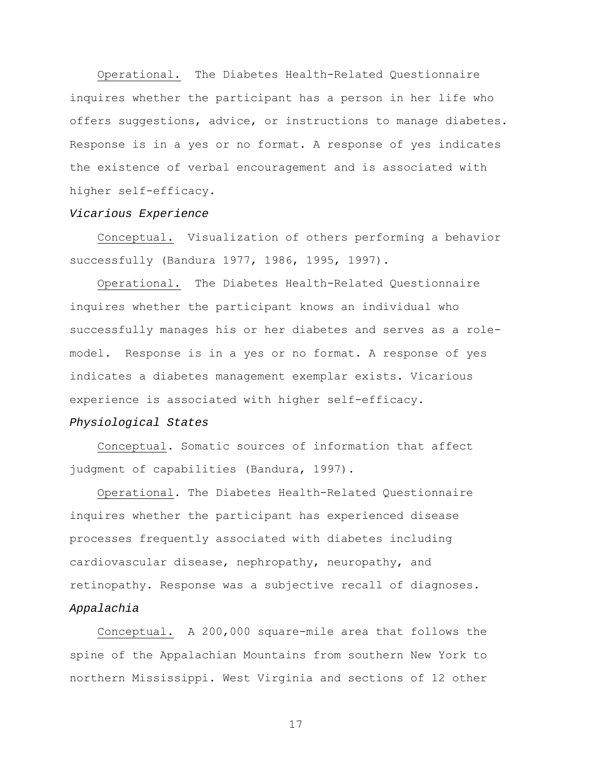Operational. The Diabetes Health-Related Questionnaire inquires whether the participant has a person in her life who offers suggestions, advice, or instructions to manage diabetes. Response is in a yes or no format. A response of yes indicates the existence of verbal encouragement and is associated with higher self-efficacy.

#### *Vicarious Experience*

Conceptual. Visualization of others performing a behavior successfully (Bandura 1977, 1986, 1995, 1997).

Operational. The Diabetes Health-Related Questionnaire inquires whether the participant knows an individual who successfully manages his or her diabetes and serves as a rolemodel. Response is in a yes or no format. A response of yes indicates a diabetes management exemplar exists. Vicarious experience is associated with higher self-efficacy. *Physiological States* 

Conceptual. Somatic sources of information that affect judgment of capabilities (Bandura, 1997).

Operational. The Diabetes Health-Related Questionnaire inquires whether the participant has experienced disease processes frequently associated with diabetes including cardiovascular disease, nephropathy, neuropathy, and retinopathy. Response was a subjective recall of diagnoses. *Appalachia* 

Conceptual. A 200,000 square-mile area that follows the spine of the Appalachian Mountains from southern New York to northern Mississippi. West Virginia and sections of 12 other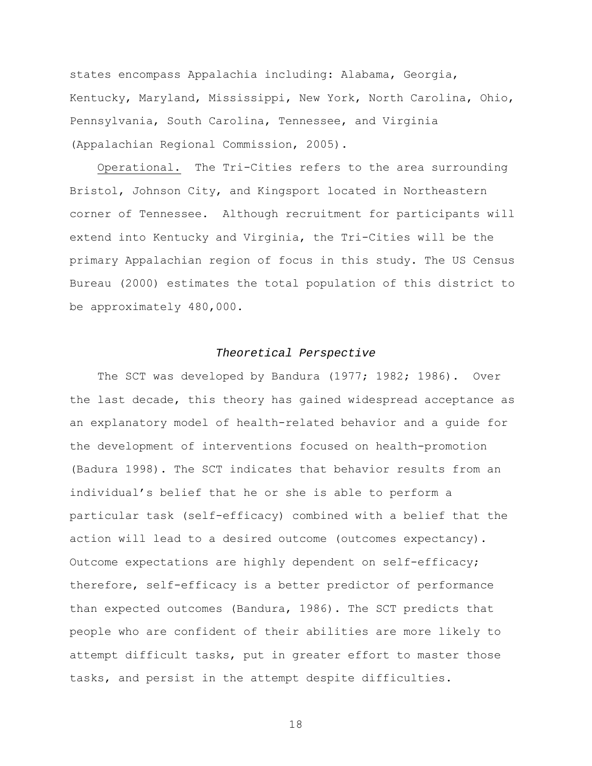states encompass Appalachia including: Alabama, Georgia, Kentucky, Maryland, Mississippi, New York, North Carolina, Ohio, Pennsylvania, South Carolina, Tennessee, and Virginia (Appalachian Regional Commission, 2005).

Operational. The Tri-Cities refers to the area surrounding Bristol, Johnson City, and Kingsport located in Northeastern corner of Tennessee. Although recruitment for participants will extend into Kentucky and Virginia, the Tri-Cities will be the primary Appalachian region of focus in this study. The US Census Bureau (2000) estimates the total population of this district to be approximately 480,000.

## *Theoretical Perspective*

The SCT was developed by Bandura (1977; 1982; 1986). Over the last decade, this theory has gained widespread acceptance as an explanatory model of health-related behavior and a guide for the development of interventions focused on health-promotion (Badura 1998). The SCT indicates that behavior results from an individual's belief that he or she is able to perform a particular task (self-efficacy) combined with a belief that the action will lead to a desired outcome (outcomes expectancy). Outcome expectations are highly dependent on self-efficacy; therefore, self-efficacy is a better predictor of performance than expected outcomes (Bandura, 1986). The SCT predicts that people who are confident of their abilities are more likely to attempt difficult tasks, put in greater effort to master those tasks, and persist in the attempt despite difficulties.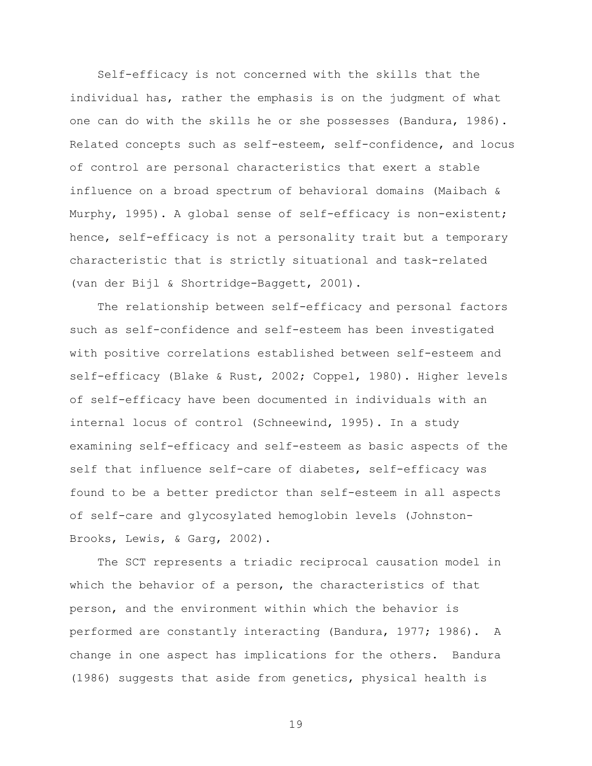Self-efficacy is not concerned with the skills that the individual has, rather the emphasis is on the judgment of what one can do with the skills he or she possesses (Bandura, 1986). Related concepts such as self-esteem, self-confidence, and locus of control are personal characteristics that exert a stable influence on a broad spectrum of behavioral domains (Maibach & Murphy, 1995). A global sense of self-efficacy is non-existent; hence, self-efficacy is not a personality trait but a temporary characteristic that is strictly situational and task-related (van der Bijl & Shortridge-Baggett, 2001).

 The relationship between self-efficacy and personal factors such as self-confidence and self-esteem has been investigated with positive correlations established between self-esteem and self-efficacy (Blake & Rust, 2002; Coppel, 1980). Higher levels of self-efficacy have been documented in individuals with an internal locus of control (Schneewind, 1995). In a study examining self-efficacy and self-esteem as basic aspects of the self that influence self-care of diabetes, self-efficacy was found to be a better predictor than self-esteem in all aspects of self-care and glycosylated hemoglobin levels (Johnston-Brooks, Lewis, & Garg, 2002).

 The SCT represents a triadic reciprocal causation model in which the behavior of a person, the characteristics of that person, and the environment within which the behavior is performed are constantly interacting (Bandura, 1977; 1986). A change in one aspect has implications for the others. Bandura (1986) suggests that aside from genetics, physical health is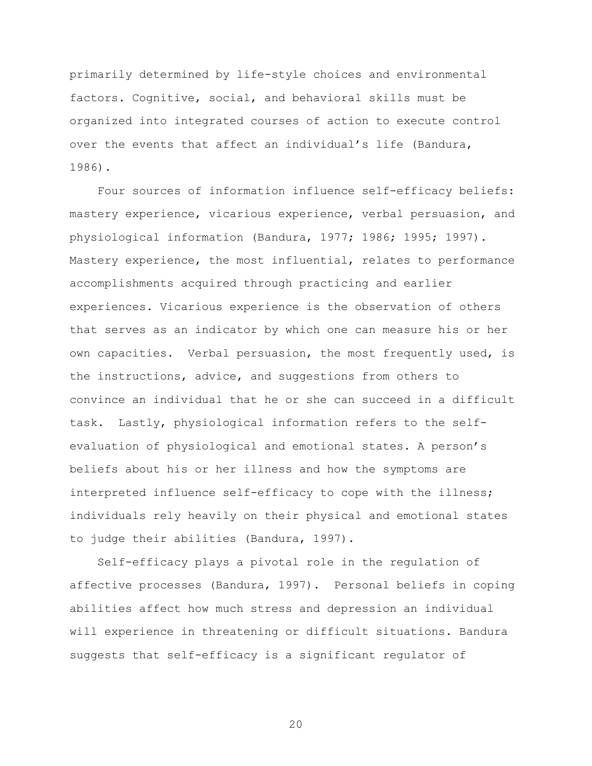primarily determined by life-style choices and environmental factors. Cognitive, social, and behavioral skills must be organized into integrated courses of action to execute control over the events that affect an individual's life (Bandura, 1986).

 Four sources of information influence self-efficacy beliefs: mastery experience, vicarious experience, verbal persuasion, and physiological information (Bandura, 1977; 1986; 1995; 1997). Mastery experience, the most influential, relates to performance accomplishments acquired through practicing and earlier experiences. Vicarious experience is the observation of others that serves as an indicator by which one can measure his or her own capacities. Verbal persuasion, the most frequently used, is the instructions, advice, and suggestions from others to convince an individual that he or she can succeed in a difficult task. Lastly, physiological information refers to the selfevaluation of physiological and emotional states. A person's beliefs about his or her illness and how the symptoms are interpreted influence self-efficacy to cope with the illness; individuals rely heavily on their physical and emotional states to judge their abilities (Bandura, 1997).

 Self-efficacy plays a pivotal role in the regulation of affective processes (Bandura, 1997). Personal beliefs in coping abilities affect how much stress and depression an individual will experience in threatening or difficult situations. Bandura suggests that self-efficacy is a significant regulator of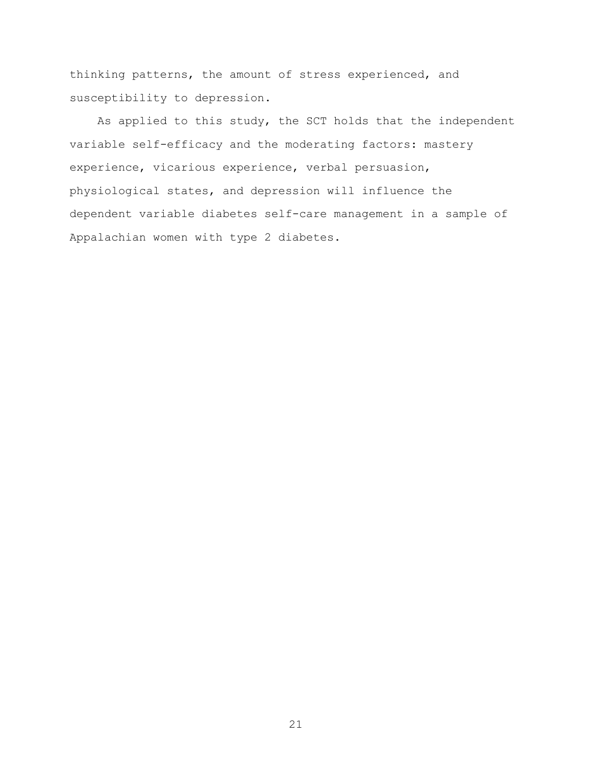thinking patterns, the amount of stress experienced, and susceptibility to depression.

 As applied to this study, the SCT holds that the independent variable self-efficacy and the moderating factors: mastery experience, vicarious experience, verbal persuasion, physiological states, and depression will influence the dependent variable diabetes self-care management in a sample of Appalachian women with type 2 diabetes.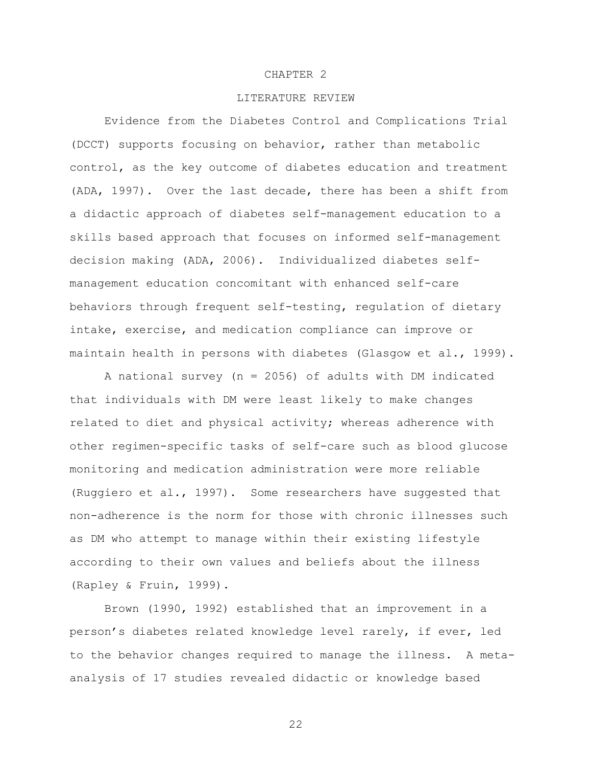## CHAPTER 2

## LITERATURE REVIEW

Evidence from the Diabetes Control and Complications Trial (DCCT) supports focusing on behavior, rather than metabolic control, as the key outcome of diabetes education and treatment (ADA, 1997). Over the last decade, there has been a shift from a didactic approach of diabetes self-management education to a skills based approach that focuses on informed self-management decision making (ADA, 2006). Individualized diabetes selfmanagement education concomitant with enhanced self-care behaviors through frequent self-testing, regulation of dietary intake, exercise, and medication compliance can improve or maintain health in persons with diabetes (Glasgow et al., 1999).

A national survey (n = 2056) of adults with DM indicated that individuals with DM were least likely to make changes related to diet and physical activity; whereas adherence with other regimen-specific tasks of self-care such as blood glucose monitoring and medication administration were more reliable (Ruggiero et al., 1997). Some researchers have suggested that non-adherence is the norm for those with chronic illnesses such as DM who attempt to manage within their existing lifestyle according to their own values and beliefs about the illness (Rapley & Fruin, 1999).

Brown (1990, 1992) established that an improvement in a person's diabetes related knowledge level rarely, if ever, led to the behavior changes required to manage the illness. A metaanalysis of 17 studies revealed didactic or knowledge based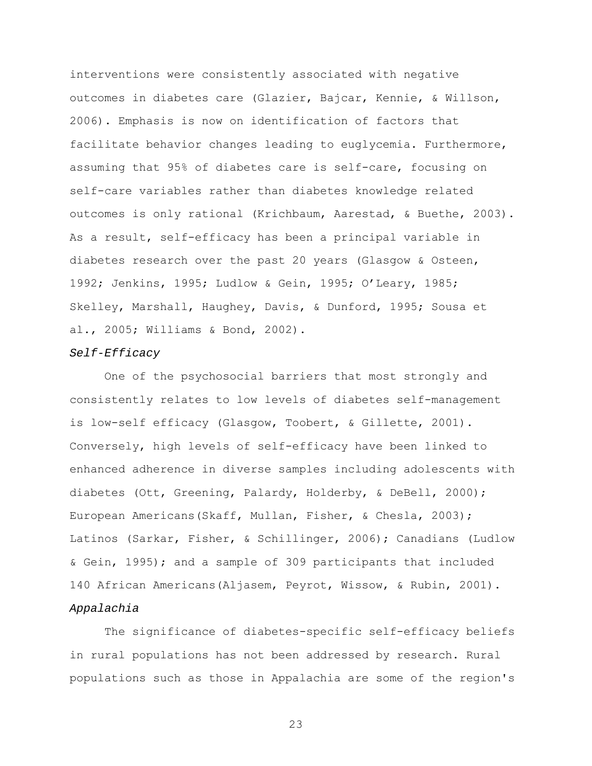interventions were consistently associated with negative outcomes in diabetes care (Glazier, Bajcar, Kennie, & Willson, 2006). Emphasis is now on identification of factors that facilitate behavior changes leading to euglycemia. Furthermore, assuming that 95% of diabetes care is self-care, focusing on self-care variables rather than diabetes knowledge related outcomes is only rational (Krichbaum, Aarestad, & Buethe, 2003). As a result, self-efficacy has been a principal variable in diabetes research over the past 20 years (Glasgow & Osteen, 1992; Jenkins, 1995; Ludlow & Gein, 1995; O'Leary, 1985; Skelley, Marshall, Haughey, Davis, & Dunford, 1995; Sousa et al., 2005; Williams & Bond, 2002).

#### *Self-Efficacy*

One of the psychosocial barriers that most strongly and consistently relates to low levels of diabetes self-management is low-self efficacy (Glasgow, Toobert, & Gillette, 2001). Conversely, high levels of self-efficacy have been linked to enhanced adherence in diverse samples including adolescents with diabetes (Ott, Greening, Palardy, Holderby, & DeBell, 2000); European Americans(Skaff, Mullan, Fisher, & Chesla, 2003); Latinos (Sarkar, Fisher, & Schillinger, 2006); Canadians (Ludlow & Gein, 1995); and a sample of 309 participants that included 140 African Americans(Aljasem, Peyrot, Wissow, & Rubin, 2001). *Appalachia* 

The significance of diabetes-specific self-efficacy beliefs in rural populations has not been addressed by research. Rural populations such as those in Appalachia are some of the region's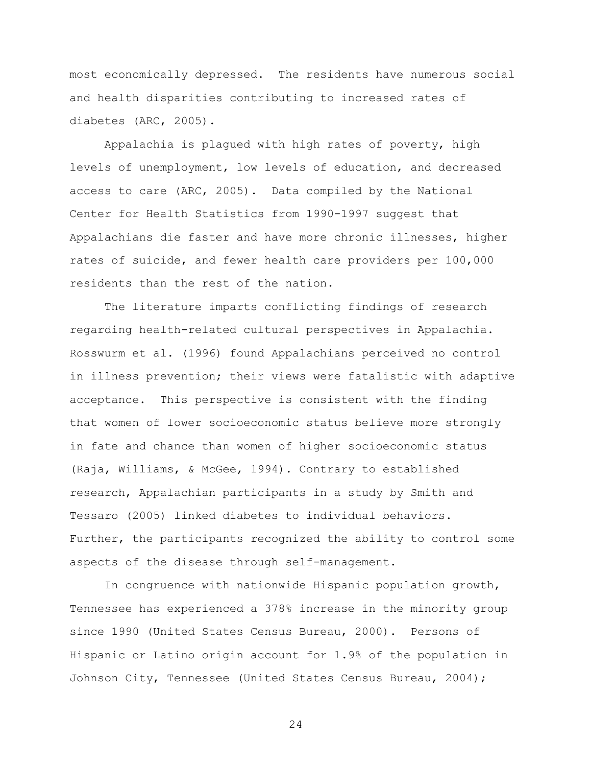most economically depressed. The residents have numerous social and health disparities contributing to increased rates of diabetes (ARC, 2005).

Appalachia is plagued with high rates of poverty, high levels of unemployment, low levels of education, and decreased access to care (ARC, 2005). Data compiled by the National Center for Health Statistics from 1990-1997 suggest that Appalachians die faster and have more chronic illnesses, higher rates of suicide, and fewer health care providers per 100,000 residents than the rest of the nation.

The literature imparts conflicting findings of research regarding health-related cultural perspectives in Appalachia. Rosswurm et al. (1996) found Appalachians perceived no control in illness prevention; their views were fatalistic with adaptive acceptance. This perspective is consistent with the finding that women of lower socioeconomic status believe more strongly in fate and chance than women of higher socioeconomic status (Raja, Williams, & McGee, 1994). Contrary to established research, Appalachian participants in a study by Smith and Tessaro (2005) linked diabetes to individual behaviors. Further, the participants recognized the ability to control some aspects of the disease through self-management.

In congruence with nationwide Hispanic population growth, Tennessee has experienced a 378% increase in the minority group since 1990 (United States Census Bureau, 2000). Persons of Hispanic or Latino origin account for 1.9% of the population in Johnson City, Tennessee (United States Census Bureau, 2004);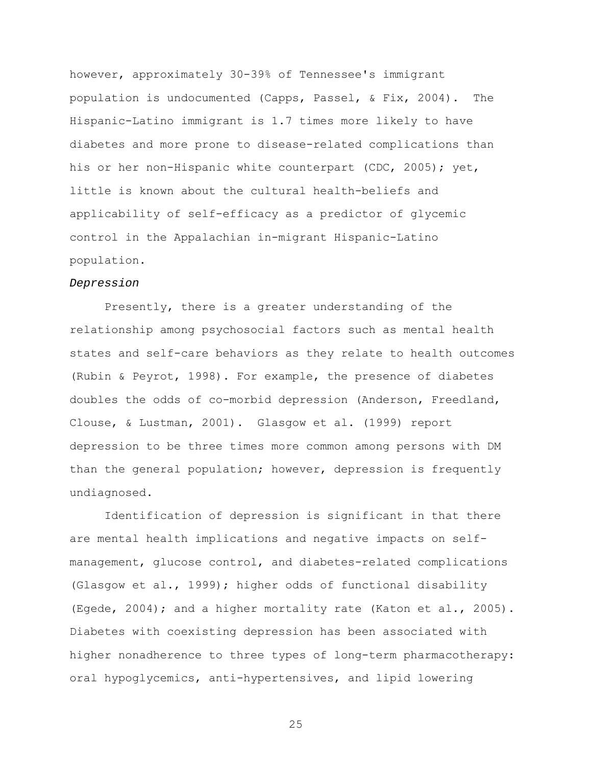however, approximately 30-39% of Tennessee's immigrant population is undocumented (Capps, Passel, & Fix, 2004). The Hispanic-Latino immigrant is 1.7 times more likely to have diabetes and more prone to disease-related complications than his or her non-Hispanic white counterpart (CDC, 2005); yet, little is known about the cultural health-beliefs and applicability of self-efficacy as a predictor of glycemic control in the Appalachian in-migrant Hispanic-Latino population.

#### *Depression*

Presently, there is a greater understanding of the relationship among psychosocial factors such as mental health states and self-care behaviors as they relate to health outcomes (Rubin & Peyrot, 1998). For example, the presence of diabetes doubles the odds of co-morbid depression (Anderson, Freedland, Clouse, & Lustman, 2001). Glasgow et al. (1999) report depression to be three times more common among persons with DM than the general population; however, depression is frequently undiagnosed.

Identification of depression is significant in that there are mental health implications and negative impacts on selfmanagement, glucose control, and diabetes-related complications (Glasgow et al., 1999); higher odds of functional disability (Egede, 2004); and a higher mortality rate (Katon et al., 2005). Diabetes with coexisting depression has been associated with higher nonadherence to three types of long-term pharmacotherapy: oral hypoglycemics, anti-hypertensives, and lipid lowering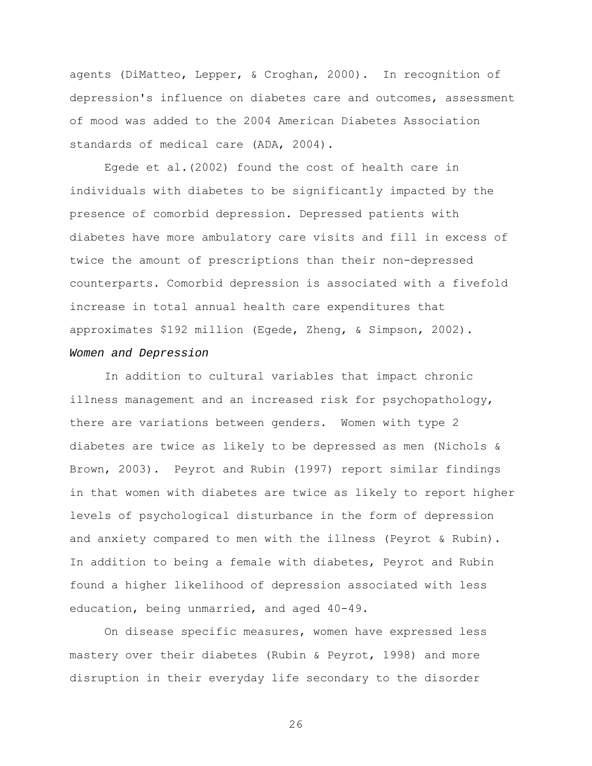agents (DiMatteo, Lepper, & Croghan, 2000). In recognition of depression's influence on diabetes care and outcomes, assessment of mood was added to the 2004 American Diabetes Association standards of medical care (ADA, 2004).

Egede et al.(2002) found the cost of health care in individuals with diabetes to be significantly impacted by the presence of comorbid depression. Depressed patients with diabetes have more ambulatory care visits and fill in excess of twice the amount of prescriptions than their non-depressed counterparts. Comorbid depression is associated with a fivefold increase in total annual health care expenditures that approximates \$192 million (Egede, Zheng, & Simpson, 2002). *Women and Depression* 

In addition to cultural variables that impact chronic illness management and an increased risk for psychopathology, there are variations between genders. Women with type 2 diabetes are twice as likely to be depressed as men (Nichols & Brown, 2003). Peyrot and Rubin (1997) report similar findings in that women with diabetes are twice as likely to report higher levels of psychological disturbance in the form of depression and anxiety compared to men with the illness (Peyrot & Rubin). In addition to being a female with diabetes, Peyrot and Rubin found a higher likelihood of depression associated with less education, being unmarried, and aged 40-49.

On disease specific measures, women have expressed less mastery over their diabetes (Rubin & Peyrot, 1998) and more disruption in their everyday life secondary to the disorder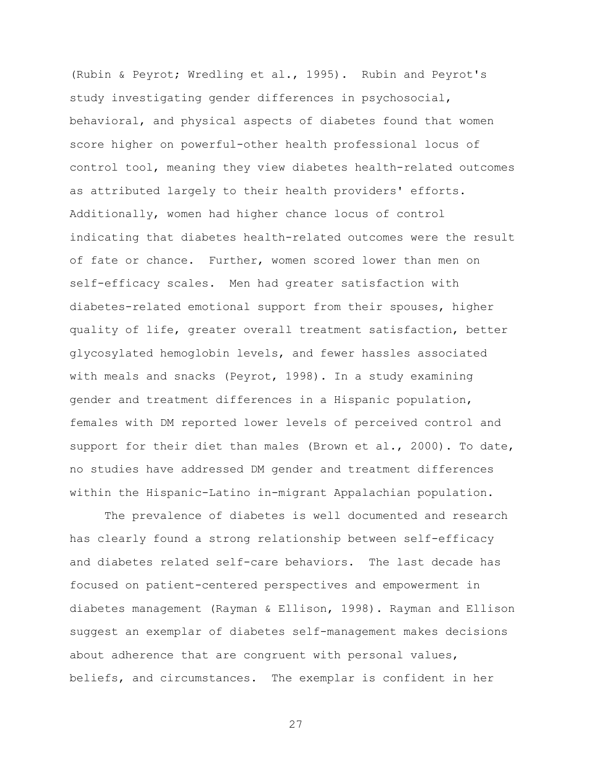(Rubin & Peyrot; Wredling et al., 1995). Rubin and Peyrot's study investigating gender differences in psychosocial, behavioral, and physical aspects of diabetes found that women score higher on powerful-other health professional locus of control tool, meaning they view diabetes health-related outcomes as attributed largely to their health providers' efforts. Additionally, women had higher chance locus of control indicating that diabetes health-related outcomes were the result of fate or chance. Further, women scored lower than men on self-efficacy scales. Men had greater satisfaction with diabetes-related emotional support from their spouses, higher quality of life, greater overall treatment satisfaction, better glycosylated hemoglobin levels, and fewer hassles associated with meals and snacks (Peyrot, 1998). In a study examining gender and treatment differences in a Hispanic population, females with DM reported lower levels of perceived control and support for their diet than males (Brown et al., 2000). To date, no studies have addressed DM gender and treatment differences within the Hispanic-Latino in-migrant Appalachian population.

The prevalence of diabetes is well documented and research has clearly found a strong relationship between self-efficacy and diabetes related self-care behaviors. The last decade has focused on patient-centered perspectives and empowerment in diabetes management (Rayman & Ellison, 1998). Rayman and Ellison suggest an exemplar of diabetes self-management makes decisions about adherence that are congruent with personal values, beliefs, and circumstances. The exemplar is confident in her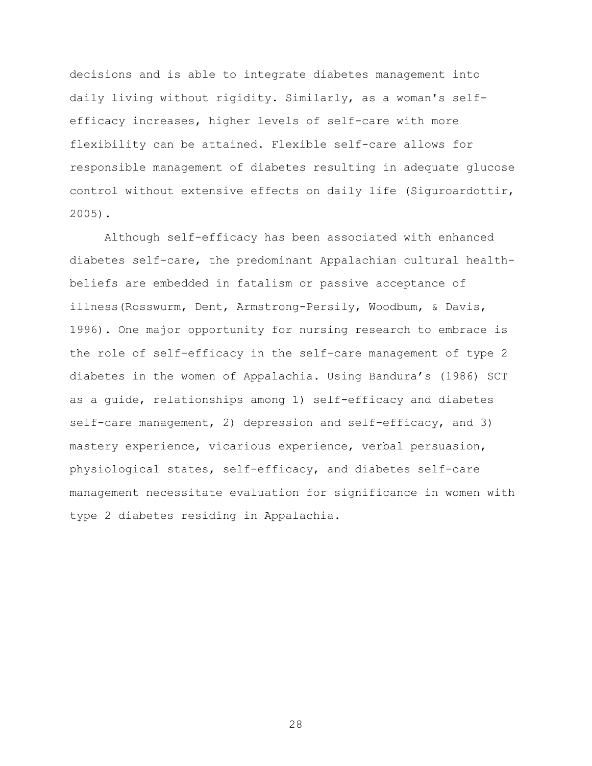decisions and is able to integrate diabetes management into daily living without rigidity. Similarly, as a woman's selfefficacy increases, higher levels of self-care with more flexibility can be attained. Flexible self-care allows for responsible management of diabetes resulting in adequate glucose control without extensive effects on daily life (Siguroardottir, 2005).

Although self-efficacy has been associated with enhanced diabetes self-care, the predominant Appalachian cultural healthbeliefs are embedded in fatalism or passive acceptance of illness(Rosswurm, Dent, Armstrong-Persily, Woodbum, & Davis, 1996). One major opportunity for nursing research to embrace is the role of self-efficacy in the self-care management of type 2 diabetes in the women of Appalachia. Using Bandura's (1986) SCT as a guide, relationships among 1) self-efficacy and diabetes self-care management, 2) depression and self-efficacy, and 3) mastery experience, vicarious experience, verbal persuasion, physiological states, self-efficacy, and diabetes self-care management necessitate evaluation for significance in women with type 2 diabetes residing in Appalachia.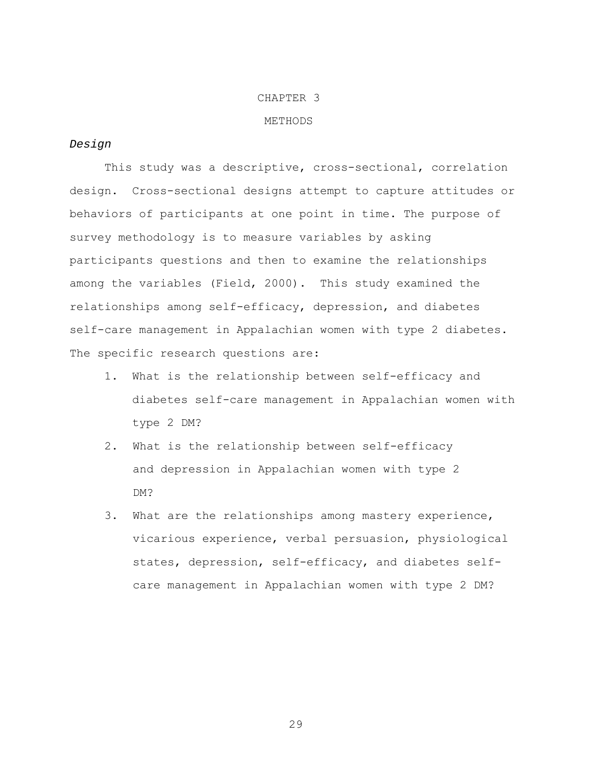#### CHAPTER 3

#### METHODS

## *Design*

This study was a descriptive, cross-sectional, correlation design. Cross-sectional designs attempt to capture attitudes or behaviors of participants at one point in time. The purpose of survey methodology is to measure variables by asking participants questions and then to examine the relationships among the variables (Field, 2000). This study examined the relationships among self-efficacy, depression, and diabetes self-care management in Appalachian women with type 2 diabetes. The specific research questions are:

- 1. What is the relationship between self-efficacy and diabetes self-care management in Appalachian women with type 2 DM?
- 2. What is the relationship between self-efficacy and depression in Appalachian women with type 2 DM?
- 3. What are the relationships among mastery experience, vicarious experience, verbal persuasion, physiological states, depression, self-efficacy, and diabetes selfcare management in Appalachian women with type 2 DM?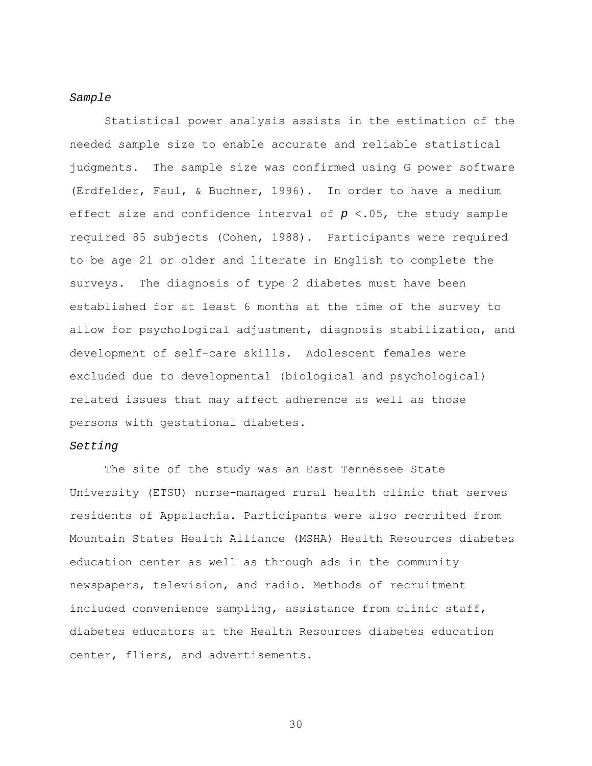#### *Sample*

Statistical power analysis assists in the estimation of the needed sample size to enable accurate and reliable statistical judgments. The sample size was confirmed using G power software (Erdfelder, Faul, & Buchner, 1996). In order to have a medium effect size and confidence interval of *p* <.05, the study sample required 85 subjects (Cohen, 1988). Participants were required to be age 21 or older and literate in English to complete the surveys. The diagnosis of type 2 diabetes must have been established for at least 6 months at the time of the survey to allow for psychological adjustment, diagnosis stabilization, and development of self-care skills. Adolescent females were excluded due to developmental (biological and psychological) related issues that may affect adherence as well as those persons with gestational diabetes.

## *Setting*

The site of the study was an East Tennessee State University (ETSU) nurse-managed rural health clinic that serves residents of Appalachia. Participants were also recruited from Mountain States Health Alliance (MSHA) Health Resources diabetes education center as well as through ads in the community newspapers, television, and radio. Methods of recruitment included convenience sampling, assistance from clinic staff, diabetes educators at the Health Resources diabetes education center, fliers, and advertisements.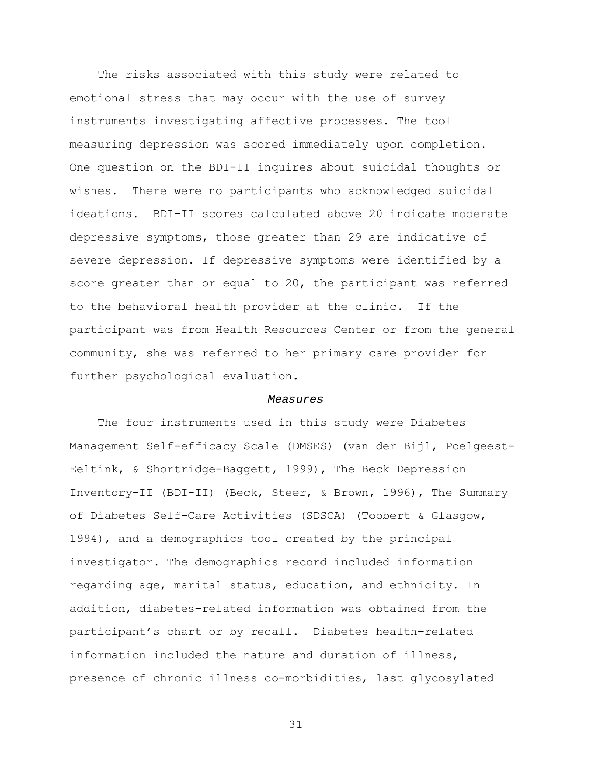The risks associated with this study were related to emotional stress that may occur with the use of survey instruments investigating affective processes. The tool measuring depression was scored immediately upon completion. One question on the BDI-II inquires about suicidal thoughts or wishes. There were no participants who acknowledged suicidal ideations. BDI-II scores calculated above 20 indicate moderate depressive symptoms, those greater than 29 are indicative of severe depression. If depressive symptoms were identified by a score greater than or equal to 20, the participant was referred to the behavioral health provider at the clinic. If the participant was from Health Resources Center or from the general community, she was referred to her primary care provider for further psychological evaluation.

#### *Measures*

 The four instruments used in this study were Diabetes Management Self-efficacy Scale (DMSES) (van der Bijl, Poelgeest-Eeltink, & Shortridge-Baggett, 1999), The Beck Depression Inventory-II (BDI-II) (Beck, Steer, & Brown, 1996), The Summary of Diabetes Self-Care Activities (SDSCA) (Toobert & Glasgow, 1994), and a demographics tool created by the principal investigator. The demographics record included information regarding age, marital status, education, and ethnicity. In addition, diabetes-related information was obtained from the participant's chart or by recall. Diabetes health-related information included the nature and duration of illness, presence of chronic illness co-morbidities, last glycosylated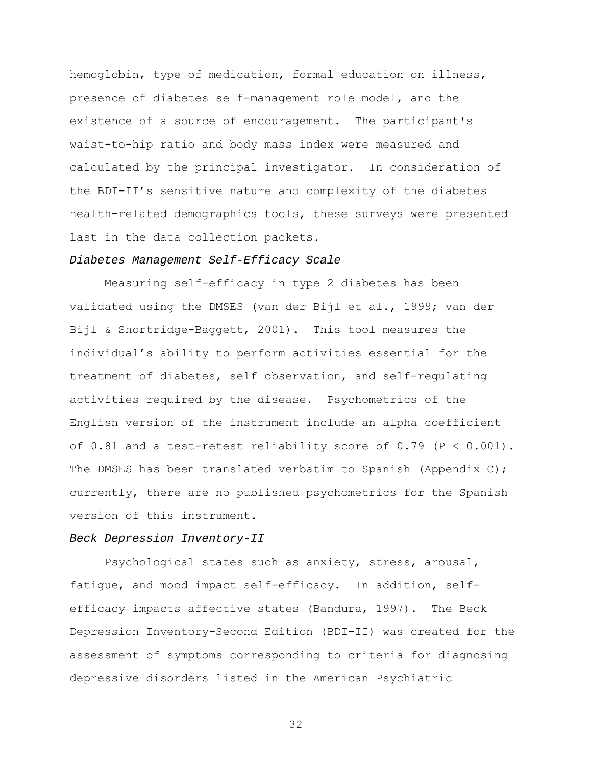hemoglobin, type of medication, formal education on illness, presence of diabetes self-management role model, and the existence of a source of encouragement. The participant's waist-to-hip ratio and body mass index were measured and calculated by the principal investigator. In consideration of the BDI-II's sensitive nature and complexity of the diabetes health-related demographics tools, these surveys were presented last in the data collection packets.

## *Diabetes Management Self-Efficacy Scale*

Measuring self-efficacy in type 2 diabetes has been validated using the DMSES (van der Bijl et al., 1999; van der Bijl & Shortridge-Baggett, 2001). This tool measures the individual's ability to perform activities essential for the treatment of diabetes, self observation, and self-regulating activities required by the disease. Psychometrics of the English version of the instrument include an alpha coefficient of  $0.81$  and a test-retest reliability score of  $0.79$  (P <  $0.001$ ). The DMSES has been translated verbatim to Spanish (Appendix C); currently, there are no published psychometrics for the Spanish version of this instrument.

#### *Beck Depression Inventory-II*

 Psychological states such as anxiety, stress, arousal, fatigue, and mood impact self-efficacy. In addition, selfefficacy impacts affective states (Bandura, 1997). The Beck Depression Inventory-Second Edition (BDI-II) was created for the assessment of symptoms corresponding to criteria for diagnosing depressive disorders listed in the American Psychiatric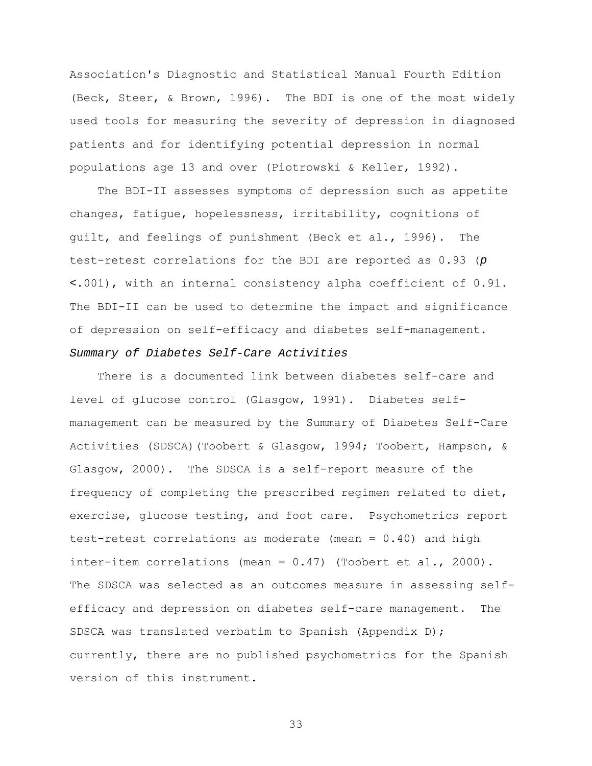Association's Diagnostic and Statistical Manual Fourth Edition (Beck, Steer, & Brown, 1996). The BDI is one of the most widely used tools for measuring the severity of depression in diagnosed patients and for identifying potential depression in normal populations age 13 and over (Piotrowski & Keller, 1992).

 The BDI-II assesses symptoms of depression such as appetite changes, fatigue, hopelessness, irritability, cognitions of guilt, and feelings of punishment (Beck et al., 1996). The test-retest correlations for the BDI are reported as 0.93 (*p <*.001), with an internal consistency alpha coefficient of 0.91. The BDI-II can be used to determine the impact and significance of depression on self-efficacy and diabetes self-management. *Summary of Diabetes Self-Care Activities* 

 There is a documented link between diabetes self-care and level of glucose control (Glasgow, 1991). Diabetes selfmanagement can be measured by the Summary of Diabetes Self-Care Activities (SDSCA)(Toobert & Glasgow, 1994; Toobert, Hampson, & Glasgow, 2000). The SDSCA is a self-report measure of the frequency of completing the prescribed regimen related to diet, exercise, glucose testing, and foot care. Psychometrics report test-retest correlations as moderate (mean = 0.40) and high inter-item correlations (mean = 0.47) (Toobert et al., 2000). The SDSCA was selected as an outcomes measure in assessing selfefficacy and depression on diabetes self-care management. The SDSCA was translated verbatim to Spanish (Appendix D); currently, there are no published psychometrics for the Spanish version of this instrument.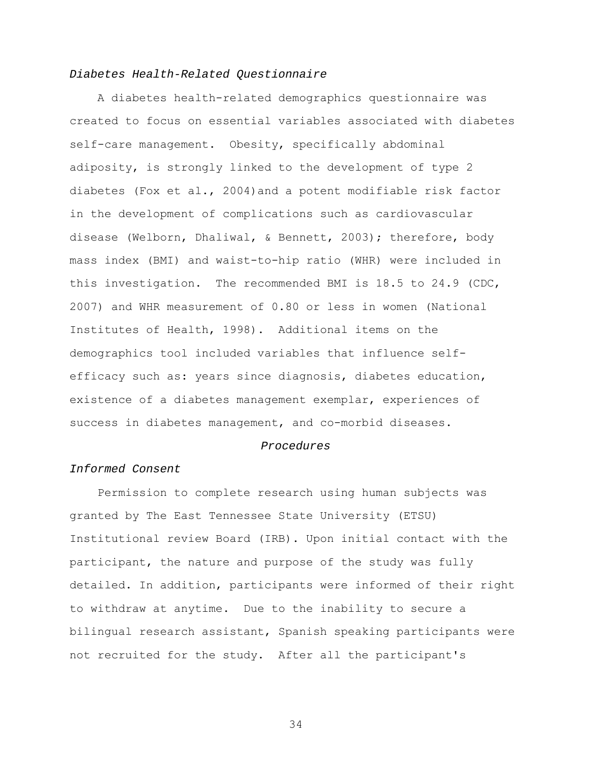## *Diabetes Health-Related Questionnaire*

A diabetes health-related demographics questionnaire was created to focus on essential variables associated with diabetes self-care management. Obesity, specifically abdominal adiposity, is strongly linked to the development of type 2 diabetes (Fox et al., 2004)and a potent modifiable risk factor in the development of complications such as cardiovascular disease (Welborn, Dhaliwal, & Bennett, 2003); therefore, body mass index (BMI) and waist-to-hip ratio (WHR) were included in this investigation. The recommended BMI is 18.5 to 24.9 (CDC, 2007) and WHR measurement of 0.80 or less in women (National Institutes of Health, 1998). Additional items on the demographics tool included variables that influence selfefficacy such as: years since diagnosis, diabetes education, existence of a diabetes management exemplar, experiences of success in diabetes management, and co-morbid diseases.

#### *Procedures*

## *Informed Consent*

Permission to complete research using human subjects was granted by The East Tennessee State University (ETSU) Institutional review Board (IRB). Upon initial contact with the participant, the nature and purpose of the study was fully detailed. In addition, participants were informed of their right to withdraw at anytime. Due to the inability to secure a bilingual research assistant, Spanish speaking participants were not recruited for the study. After all the participant's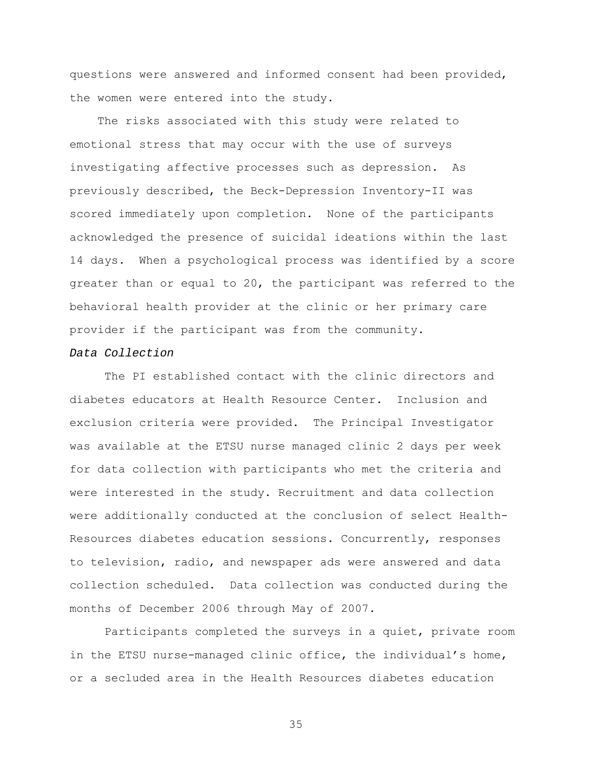questions were answered and informed consent had been provided, the women were entered into the study.

 The risks associated with this study were related to emotional stress that may occur with the use of surveys investigating affective processes such as depression. As previously described, the Beck-Depression Inventory-II was scored immediately upon completion. None of the participants acknowledged the presence of suicidal ideations within the last 14 days. When a psychological process was identified by a score greater than or equal to 20, the participant was referred to the behavioral health provider at the clinic or her primary care provider if the participant was from the community.

## *Data Collection*

 The PI established contact with the clinic directors and diabetes educators at Health Resource Center. Inclusion and exclusion criteria were provided. The Principal Investigator was available at the ETSU nurse managed clinic 2 days per week for data collection with participants who met the criteria and were interested in the study. Recruitment and data collection were additionally conducted at the conclusion of select Health-Resources diabetes education sessions. Concurrently, responses to television, radio, and newspaper ads were answered and data collection scheduled. Data collection was conducted during the months of December 2006 through May of 2007.

 Participants completed the surveys in a quiet, private room in the ETSU nurse-managed clinic office, the individual's home, or a secluded area in the Health Resources diabetes education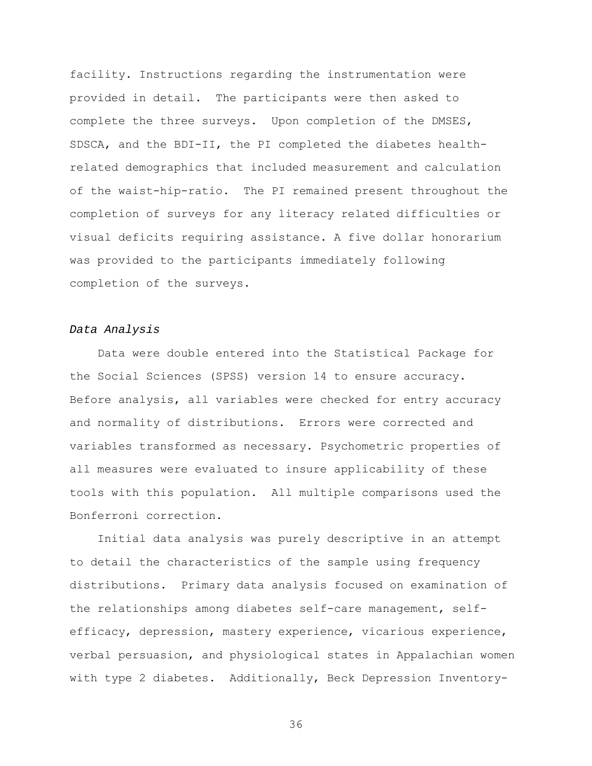facility. Instructions regarding the instrumentation were provided in detail. The participants were then asked to complete the three surveys. Upon completion of the DMSES, SDSCA, and the BDI-II, the PI completed the diabetes healthrelated demographics that included measurement and calculation of the waist-hip-ratio. The PI remained present throughout the completion of surveys for any literacy related difficulties or visual deficits requiring assistance. A five dollar honorarium was provided to the participants immediately following completion of the surveys.

# *Data Analysis*

 Data were double entered into the Statistical Package for the Social Sciences (SPSS) version 14 to ensure accuracy. Before analysis, all variables were checked for entry accuracy and normality of distributions. Errors were corrected and variables transformed as necessary. Psychometric properties of all measures were evaluated to insure applicability of these tools with this population. All multiple comparisons used the Bonferroni correction.

 Initial data analysis was purely descriptive in an attempt to detail the characteristics of the sample using frequency distributions. Primary data analysis focused on examination of the relationships among diabetes self-care management, selfefficacy, depression, mastery experience, vicarious experience, verbal persuasion, and physiological states in Appalachian women with type 2 diabetes. Additionally, Beck Depression Inventory-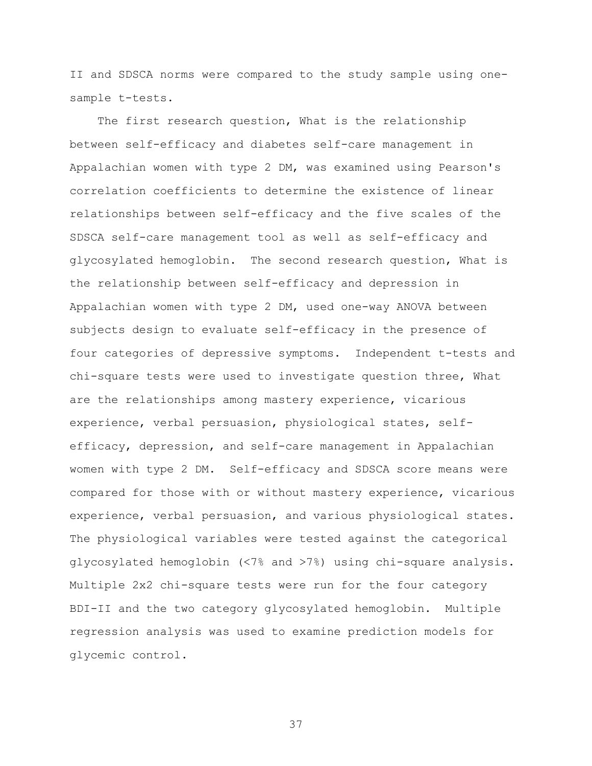II and SDSCA norms were compared to the study sample using onesample t-tests.

 The first research question, What is the relationship between self-efficacy and diabetes self-care management in Appalachian women with type 2 DM, was examined using Pearson's correlation coefficients to determine the existence of linear relationships between self-efficacy and the five scales of the SDSCA self-care management tool as well as self-efficacy and glycosylated hemoglobin. The second research question, What is the relationship between self-efficacy and depression in Appalachian women with type 2 DM, used one-way ANOVA between subjects design to evaluate self-efficacy in the presence of four categories of depressive symptoms. Independent t-tests and chi-square tests were used to investigate question three, What are the relationships among mastery experience, vicarious experience, verbal persuasion, physiological states, selfefficacy, depression, and self-care management in Appalachian women with type 2 DM. Self-efficacy and SDSCA score means were compared for those with or without mastery experience, vicarious experience, verbal persuasion, and various physiological states. The physiological variables were tested against the categorical glycosylated hemoglobin (<7% and >7%) using chi-square analysis. Multiple 2x2 chi-square tests were run for the four category BDI-II and the two category glycosylated hemoglobin. Multiple regression analysis was used to examine prediction models for glycemic control.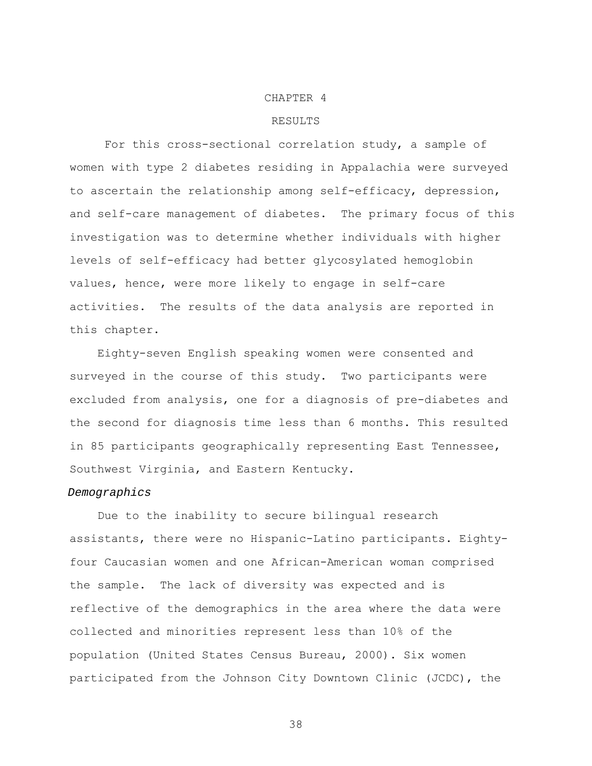#### CHAPTER 4

#### RESULTS

For this cross-sectional correlation study, a sample of women with type 2 diabetes residing in Appalachia were surveyed to ascertain the relationship among self-efficacy, depression, and self-care management of diabetes. The primary focus of this investigation was to determine whether individuals with higher levels of self-efficacy had better glycosylated hemoglobin values, hence, were more likely to engage in self-care activities. The results of the data analysis are reported in this chapter.

 Eighty-seven English speaking women were consented and surveyed in the course of this study. Two participants were excluded from analysis, one for a diagnosis of pre-diabetes and the second for diagnosis time less than 6 months. This resulted in 85 participants geographically representing East Tennessee, Southwest Virginia, and Eastern Kentucky.

#### *Demographics*

Due to the inability to secure bilingual research assistants, there were no Hispanic-Latino participants. Eightyfour Caucasian women and one African-American woman comprised the sample. The lack of diversity was expected and is reflective of the demographics in the area where the data were collected and minorities represent less than 10% of the population (United States Census Bureau, 2000). Six women participated from the Johnson City Downtown Clinic (JCDC), the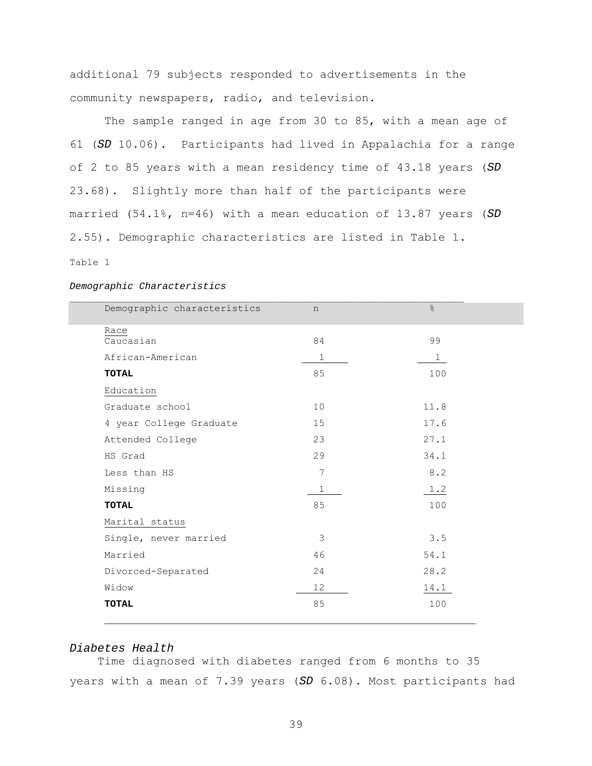additional 79 subjects responded to advertisements in the community newspapers, radio, and television.

The sample ranged in age from 30 to 85, with a mean age of 61 (*SD* 10.06). Participants had lived in Appalachia for a range of 2 to 85 years with a mean residency time of 43.18 years (*SD*  23.68). Slightly more than half of the participants were married (54.1%, n=46) with a mean education of 13.87 years (*SD*  2.55). Demographic characteristics are listed in Table 1.

Table 1

| Demographic characteristics | n            | $\frac{6}{10}$ |
|-----------------------------|--------------|----------------|
| Race                        |              |                |
| Caucasian                   | 84           | 99             |
| African-American            | $\mathbf 1$  | $\mathbf 1$    |
| TOTAL                       | 85           | 100            |
| Education                   |              |                |
| Graduate school             | 10           | 11.8           |
| 4 year College Graduate     | 15           | 17.6           |
| Attended College            | 23           | 27.1           |
| HS Grad                     | 29           | 34.1           |
| Less than HS                | 7            | 8.2            |
| Missing                     | $\mathbf{1}$ | 1.2            |
| <b>TOTAL</b>                | 85           | 100            |
| Marital status              |              |                |
| Single, never married       | 3            | 3.5            |
| Married                     | 46           | 54.1           |
| Divorced-Separated          | 24           | 28.2           |
| Widow                       | 12           | 14.1           |
| <b>TOTAL</b>                | 85           | 100            |
|                             |              |                |

#### *Demographic Characteristics*

#### *Diabetes Health*

 Time diagnosed with diabetes ranged from 6 months to 35 years with a mean of 7.39 years (*SD* 6.08). Most participants had

**\_\_\_\_\_\_\_\_\_\_\_\_\_\_\_\_\_\_\_\_\_\_\_\_\_\_\_\_\_\_\_\_\_\_\_\_\_\_\_\_\_\_\_\_\_\_\_\_\_\_\_\_\_\_\_\_\_\_\_\_\_\_\_\_**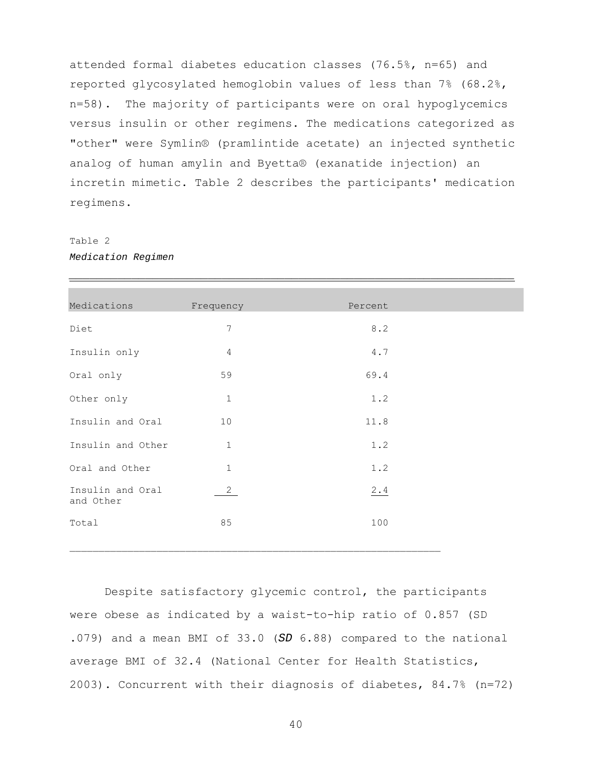attended formal diabetes education classes (76.5%, n=65) and reported glycosylated hemoglobin values of less than 7% (68.2%, n=58). The majority of participants were on oral hypoglycemics versus insulin or other regimens. The medications categorized as "other" were Symlin® (pramlintide acetate) an injected synthetic analog of human amylin and Byetta® (exanatide injection) an incretin mimetic. Table 2 describes the participants' medication regimens.

*\_\_\_\_\_\_\_\_\_\_\_\_\_\_\_\_\_\_\_\_\_\_\_\_\_\_\_\_\_\_\_\_\_\_\_\_\_\_\_\_\_\_\_\_\_\_\_\_\_\_\_\_\_\_\_\_\_\_\_\_\_\_\_\_*

Table 2 *Medication Regimen* 

| Medications                   | Frequency                | Percent |  |
|-------------------------------|--------------------------|---------|--|
| Diet                          | $\overline{\phantom{a}}$ | 8.2     |  |
| Insulin only                  | $\overline{4}$           | $4.7$   |  |
| Oral only                     | 59                       | 69.4    |  |
| Other only                    | $1\,$                    | 1.2     |  |
| Insulin and Oral              | 10                       | 11.8    |  |
| Insulin and Other             | $1\,$                    | 1.2     |  |
| Oral and Other                | $\mathbf 1$              | 1.2     |  |
| Insulin and Oral<br>and Other | $\overline{2}$           | 2.4     |  |
| Total                         | 85                       | 100     |  |
|                               |                          |         |  |

 Despite satisfactory glycemic control, the participants were obese as indicated by a waist-to-hip ratio of 0.857 (SD .079) and a mean BMI of 33.0 (*SD* 6.88) compared to the national average BMI of 32.4 (National Center for Health Statistics, 2003). Concurrent with their diagnosis of diabetes, 84.7% (n=72)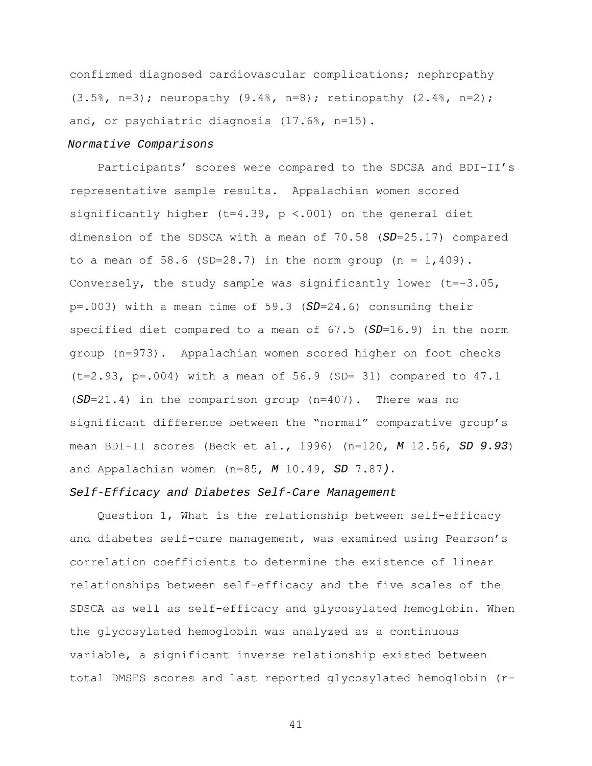confirmed diagnosed cardiovascular complications; nephropathy (3.5%, n=3); neuropathy (9.4%, n=8); retinopathy (2.4%, n=2); and, or psychiatric diagnosis (17.6%, n=15).

#### *Normative Comparisons*

Participants' scores were compared to the SDCSA and BDI-II's representative sample results. Appalachian women scored significantly higher (t=4.39,  $p$  <.001) on the general diet dimension of the SDSCA with a mean of 70.58 (*SD*=25.17) compared to a mean of 58.6 (SD=28.7) in the norm group (n =  $1,409$ ). Conversely, the study sample was significantly lower  $(t=-3.05)$ , p=.003) with a mean time of 59.3 (*SD*=24.6) consuming their specified diet compared to a mean of 67.5 (*SD*=16.9) in the norm group (n=973). Appalachian women scored higher on foot checks  $(t=2.93, p=.004)$  with a mean of 56.9 (SD= 31) compared to 47.1 (*SD*=21.4) in the comparison group (n=407). There was no significant difference between the "normal" comparative group's mean BDI-II scores (Beck et al., 1996) (n=120, *M* 12.56, *SD 9.93*) and Appalachian women (n=85, *M* 10.49, *SD* 7.87*).* 

# *Self-Efficacy and Diabetes Self-Care Management*

Question 1, What is the relationship between self-efficacy and diabetes self-care management, was examined using Pearson's correlation coefficients to determine the existence of linear relationships between self-efficacy and the five scales of the SDSCA as well as self-efficacy and glycosylated hemoglobin. When the glycosylated hemoglobin was analyzed as a continuous variable, a significant inverse relationship existed between total DMSES scores and last reported glycosylated hemoglobin (r-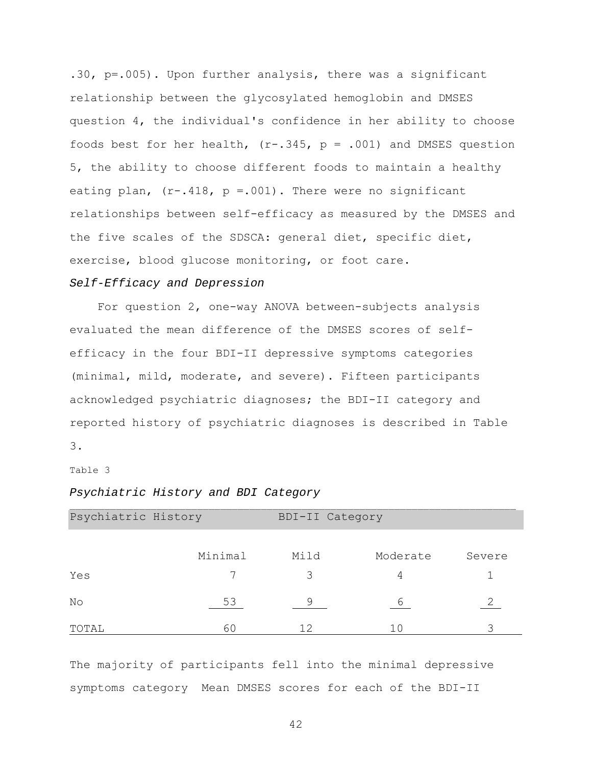.30, p=.005). Upon further analysis, there was a significant relationship between the glycosylated hemoglobin and DMSES question 4, the individual's confidence in her ability to choose foods best for her health,  $(r-.345, p = .001)$  and DMSES question 5, the ability to choose different foods to maintain a healthy eating plan,  $(r-.418, p=.001)$ . There were no significant relationships between self-efficacy as measured by the DMSES and the five scales of the SDSCA: general diet, specific diet, exercise, blood glucose monitoring, or foot care.

# *Self-Efficacy and Depression*

For question 2, one-way ANOVA between-subjects analysis evaluated the mean difference of the DMSES scores of selfefficacy in the four BDI-II depressive symptoms categories (minimal, mild, moderate, and severe). Fifteen participants acknowledged psychiatric diagnoses; the BDI-II category and reported history of psychiatric diagnoses is described in Table 3.

Table 3

### *Psychiatric History and BDI Category*

| Psychiatric History |         | BDI-II Category |          |        |
|---------------------|---------|-----------------|----------|--------|
|                     |         |                 |          |        |
|                     | Minimal | Mild            | Moderate | Severe |
| Yes                 |         | 3               | 4        |        |
| No                  | 53      | 9               | 6        |        |
| TOTAL               | 60      | 12              | 10       | 3      |

The majority of participants fell into the minimal depressive symptoms category Mean DMSES scores for each of the BDI-II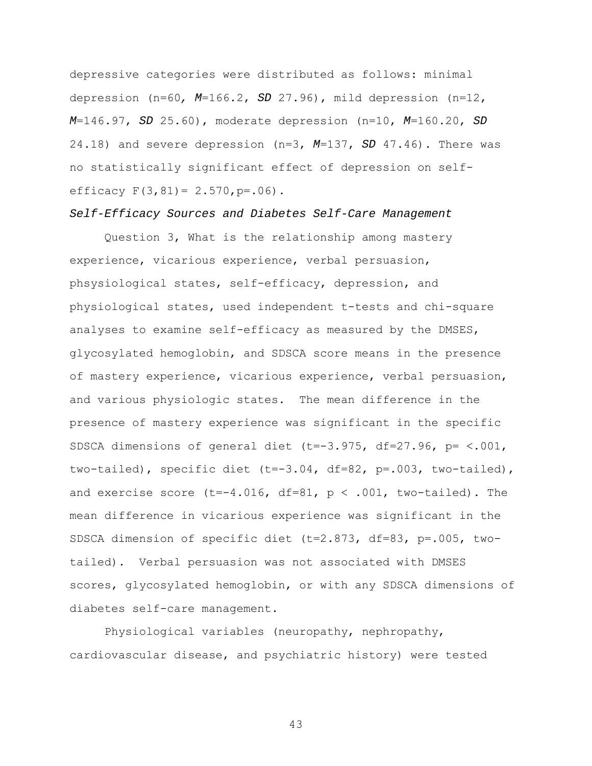depressive categories were distributed as follows: minimal depression (n=60*, M*=166.2, *SD* 27.96), mild depression (n=12, *M*=146.97, *SD* 25.60), moderate depression (n=10, *M*=160.20, *SD*  24.18) and severe depression (n=3, *M*=137, *SD* 47.46). There was no statistically significant effect of depression on selfefficacy  $F(3, 81) = 2.570$ ,  $p = .06$ ).

### *Self-Efficacy Sources and Diabetes Self-Care Management*

Question 3, What is the relationship among mastery experience, vicarious experience, verbal persuasion, phsysiological states, self-efficacy, depression, and physiological states, used independent t-tests and chi-square analyses to examine self-efficacy as measured by the DMSES, glycosylated hemoglobin, and SDSCA score means in the presence of mastery experience, vicarious experience, verbal persuasion, and various physiologic states. The mean difference in the presence of mastery experience was significant in the specific SDSCA dimensions of general diet (t=-3.975, df=27.96, p= <.001, two-tailed), specific diet (t=-3.04, df=82, p=.003, two-tailed), and exercise score  $(t=-4.016, df=81, p < .001, two-tailed)$ . The mean difference in vicarious experience was significant in the SDSCA dimension of specific diet (t=2.873, df=83, p=.005, twotailed). Verbal persuasion was not associated with DMSES scores, glycosylated hemoglobin, or with any SDSCA dimensions of diabetes self-care management.

Physiological variables (neuropathy, nephropathy, cardiovascular disease, and psychiatric history) were tested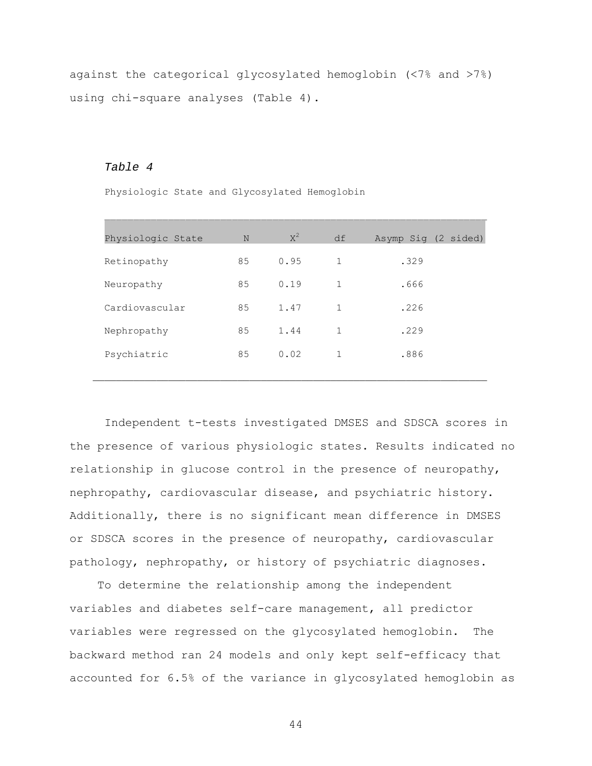against the categorical glycosylated hemoglobin (<7% and >7%) using chi-square analyses (Table 4).

# *Table 4*

Physiologic State and Glycosylated Hemoglobin

| Physiologic State | N  | $X^2$ | df           | Asymp Sig (2 sided) |
|-------------------|----|-------|--------------|---------------------|
| Retinopathy       | 85 | 0.95  | $\mathbf{1}$ | .329                |
| Neuropathy        | 85 | 0.19  | $\mathbf{1}$ | .666                |
| Cardiovascular    | 85 | 1.47  | $\mathbf{1}$ | .226                |
| Nephropathy       | 85 | 1.44  | $\mathbf{1}$ | .229                |
| Psychiatric       | 85 | 0.02  | $\mathbf{1}$ | .886                |
|                   |    |       |              |                     |

 $\mathcal{L}_\text{max}$ 

Independent t-tests investigated DMSES and SDSCA scores in the presence of various physiologic states. Results indicated no relationship in glucose control in the presence of neuropathy, nephropathy, cardiovascular disease, and psychiatric history. Additionally, there is no significant mean difference in DMSES or SDSCA scores in the presence of neuropathy, cardiovascular pathology, nephropathy, or history of psychiatric diagnoses.

 To determine the relationship among the independent variables and diabetes self-care management, all predictor variables were regressed on the glycosylated hemoglobin. The backward method ran 24 models and only kept self-efficacy that accounted for 6.5% of the variance in glycosylated hemoglobin as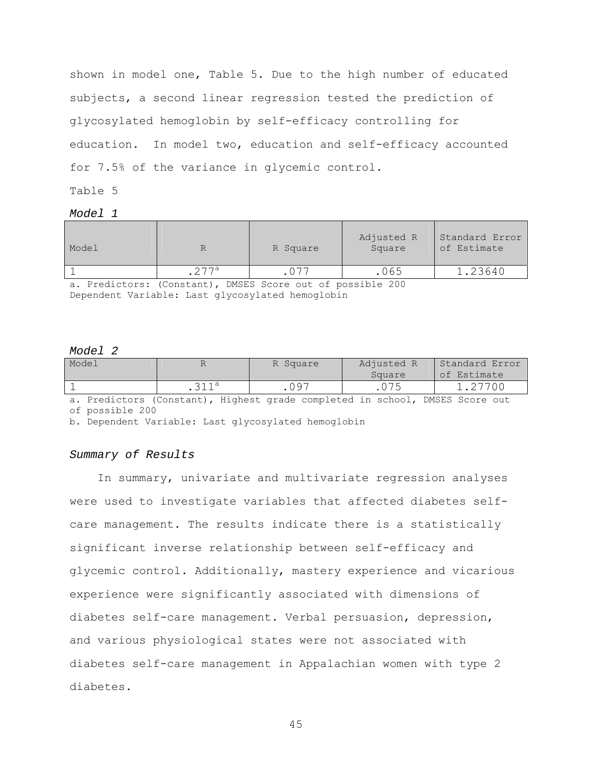shown in model one, Table 5. Due to the high number of educated subjects, a second linear regression tested the prediction of glycosylated hemoglobin by self-efficacy controlling for education. In model two, education and self-efficacy accounted for 7.5% of the variance in glycemic control.

Table 5

*Model 1* 

| Model |       | R Square                   | Adjusted R<br>Square | Standard Error<br>of Estimate |
|-------|-------|----------------------------|----------------------|-------------------------------|
|       | o 77a |                            | 065                  | 1.23640                       |
|       |       | <b>PHOTO 0 1 C 111 000</b> |                      |                               |

a. Predictors: (Constant), DMSES Score out of possible 200 Dependent Variable: Last glycosylated hemoglobin

# *Model 2*

| Model |      | R Square      | Adjusted R | Standard Error |  |  |
|-------|------|---------------|------------|----------------|--|--|
|       |      |               | Square     | of Estimate    |  |  |
|       | 211a | ∩ 97<br>. ∪ 2 |            | 1.27700        |  |  |

a. Predictors (Constant), Highest grade completed in school, DMSES Score out of possible 200

b. Dependent Variable: Last glycosylated hemoglobin

# *Summary of Results*

In summary, univariate and multivariate regression analyses were used to investigate variables that affected diabetes selfcare management. The results indicate there is a statistically significant inverse relationship between self-efficacy and glycemic control. Additionally, mastery experience and vicarious experience were significantly associated with dimensions of diabetes self-care management. Verbal persuasion, depression, and various physiological states were not associated with diabetes self-care management in Appalachian women with type 2 diabetes.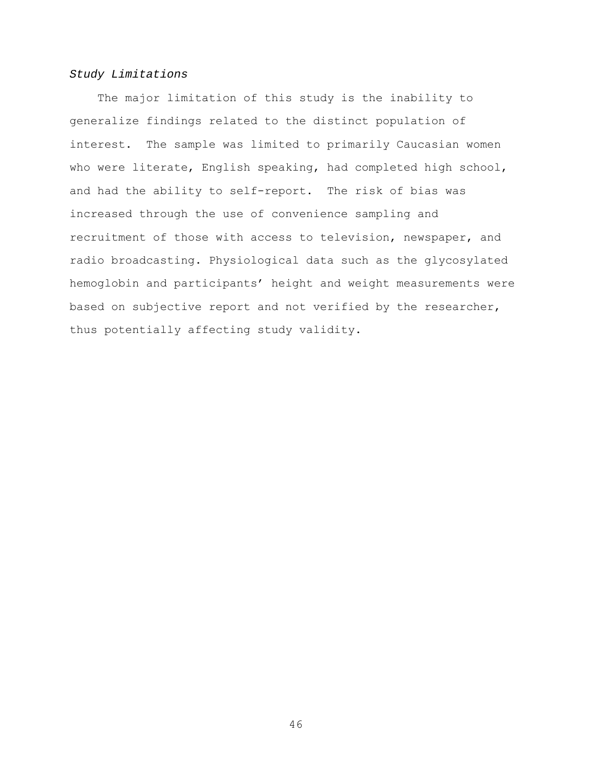# *Study Limitations*

 The major limitation of this study is the inability to generalize findings related to the distinct population of interest. The sample was limited to primarily Caucasian women who were literate, English speaking, had completed high school, and had the ability to self-report. The risk of bias was increased through the use of convenience sampling and recruitment of those with access to television, newspaper, and radio broadcasting. Physiological data such as the glycosylated hemoglobin and participants' height and weight measurements were based on subjective report and not verified by the researcher, thus potentially affecting study validity.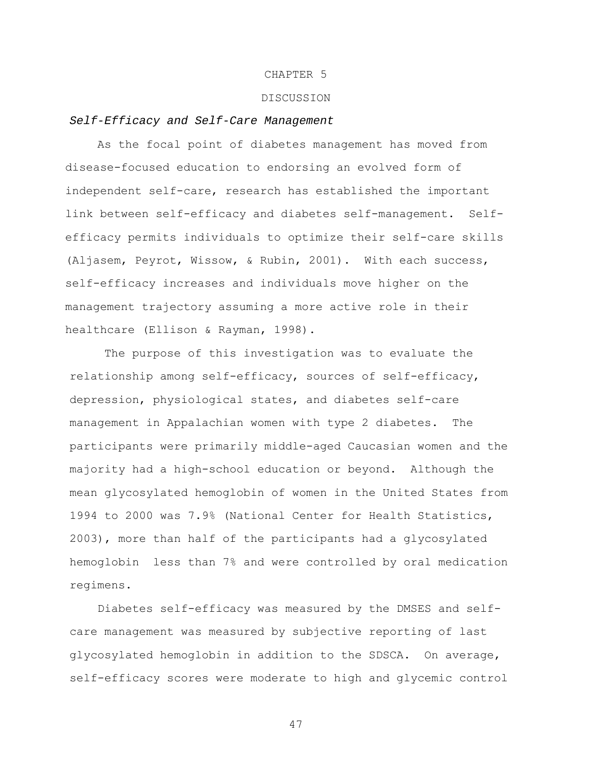# CHAPTER 5

### DISCUSSION

## *Self-Efficacy and Self-Care Management*

As the focal point of diabetes management has moved from disease-focused education to endorsing an evolved form of independent self-care, research has established the important link between self-efficacy and diabetes self-management. Selfefficacy permits individuals to optimize their self-care skills (Aljasem, Peyrot, Wissow, & Rubin, 2001). With each success, self-efficacy increases and individuals move higher on the management trajectory assuming a more active role in their healthcare (Ellison & Rayman, 1998).

 The purpose of this investigation was to evaluate the relationship among self-efficacy, sources of self-efficacy, depression, physiological states, and diabetes self-care management in Appalachian women with type 2 diabetes. The participants were primarily middle-aged Caucasian women and the majority had a high-school education or beyond. Although the mean glycosylated hemoglobin of women in the United States from 1994 to 2000 was 7.9% (National Center for Health Statistics, 2003), more than half of the participants had a glycosylated hemoglobin less than 7% and were controlled by oral medication regimens.

 Diabetes self-efficacy was measured by the DMSES and selfcare management was measured by subjective reporting of last glycosylated hemoglobin in addition to the SDSCA. On average, self-efficacy scores were moderate to high and glycemic control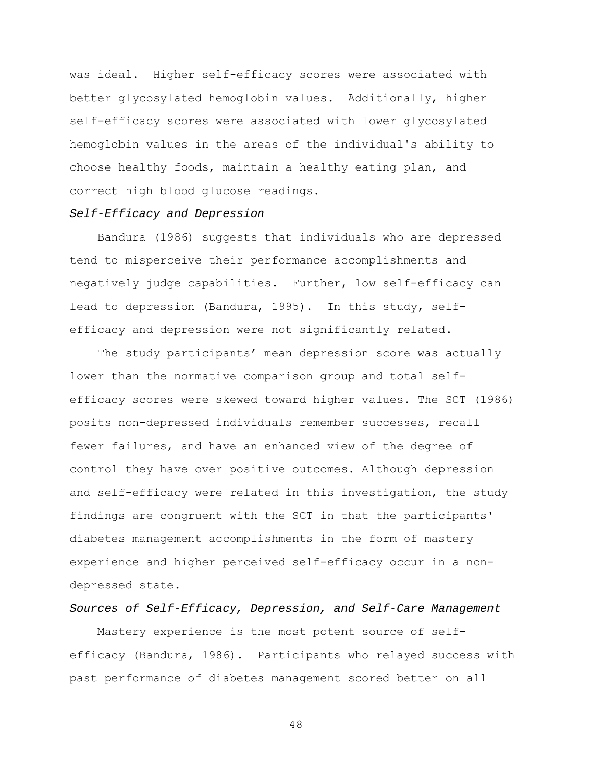was ideal. Higher self-efficacy scores were associated with better glycosylated hemoglobin values. Additionally, higher self-efficacy scores were associated with lower glycosylated hemoglobin values in the areas of the individual's ability to choose healthy foods, maintain a healthy eating plan, and correct high blood glucose readings.

### *Self-Efficacy and Depression*

Bandura (1986) suggests that individuals who are depressed tend to misperceive their performance accomplishments and negatively judge capabilities. Further, low self-efficacy can lead to depression (Bandura, 1995). In this study, selfefficacy and depression were not significantly related.

 The study participants' mean depression score was actually lower than the normative comparison group and total selfefficacy scores were skewed toward higher values. The SCT (1986) posits non-depressed individuals remember successes, recall fewer failures, and have an enhanced view of the degree of control they have over positive outcomes. Although depression and self-efficacy were related in this investigation, the study findings are congruent with the SCT in that the participants' diabetes management accomplishments in the form of mastery experience and higher perceived self-efficacy occur in a nondepressed state.

# *Sources of Self-Efficacy, Depression, and Self-Care Management*

 Mastery experience is the most potent source of selfefficacy (Bandura, 1986). Participants who relayed success with past performance of diabetes management scored better on all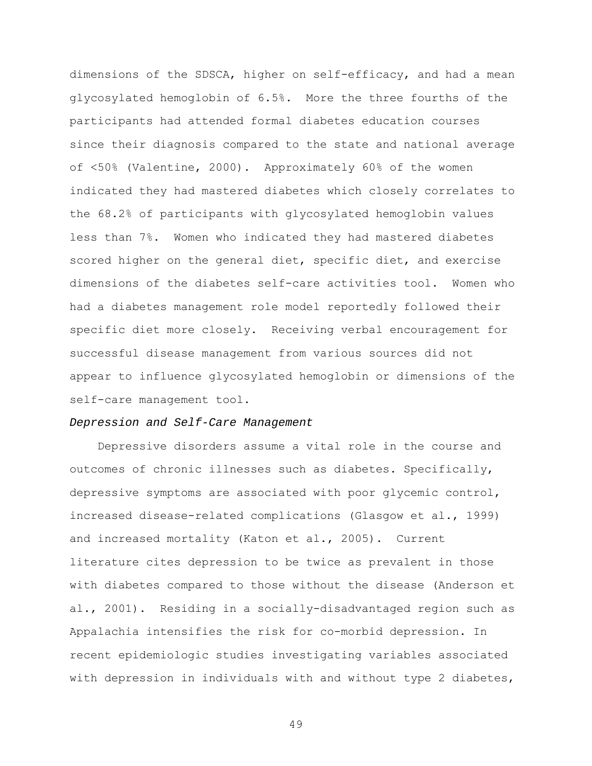dimensions of the SDSCA, higher on self-efficacy, and had a mean glycosylated hemoglobin of 6.5%. More the three fourths of the participants had attended formal diabetes education courses since their diagnosis compared to the state and national average of <50% (Valentine, 2000). Approximately 60% of the women indicated they had mastered diabetes which closely correlates to the 68.2% of participants with glycosylated hemoglobin values less than 7%. Women who indicated they had mastered diabetes scored higher on the general diet, specific diet, and exercise dimensions of the diabetes self-care activities tool. Women who had a diabetes management role model reportedly followed their specific diet more closely. Receiving verbal encouragement for successful disease management from various sources did not appear to influence glycosylated hemoglobin or dimensions of the self-care management tool.

# *Depression and Self-Care Management*

 Depressive disorders assume a vital role in the course and outcomes of chronic illnesses such as diabetes. Specifically, depressive symptoms are associated with poor glycemic control, increased disease-related complications (Glasgow et al., 1999) and increased mortality (Katon et al., 2005). Current literature cites depression to be twice as prevalent in those with diabetes compared to those without the disease (Anderson et al., 2001). Residing in a socially-disadvantaged region such as Appalachia intensifies the risk for co-morbid depression. In recent epidemiologic studies investigating variables associated with depression in individuals with and without type 2 diabetes,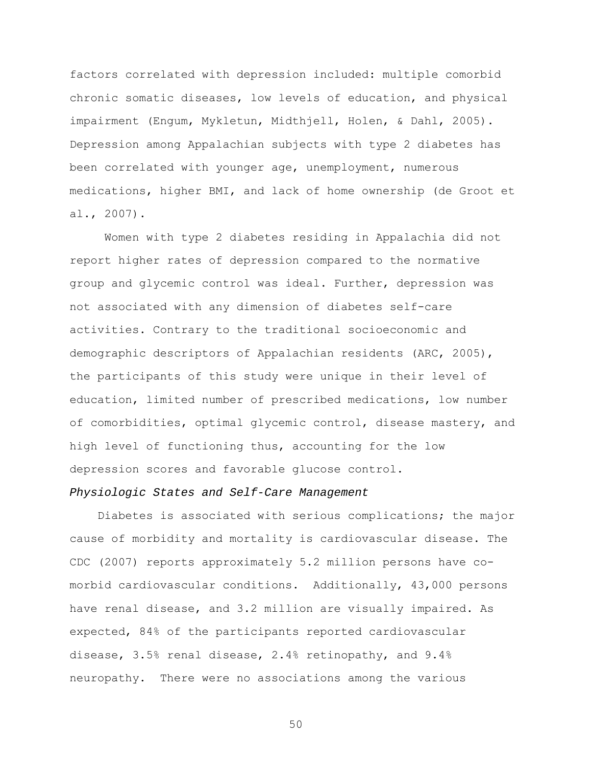factors correlated with depression included: multiple comorbid chronic somatic diseases, low levels of education, and physical impairment (Engum, Mykletun, Midthjell, Holen, & Dahl, 2005). Depression among Appalachian subjects with type 2 diabetes has been correlated with younger age, unemployment, numerous medications, higher BMI, and lack of home ownership (de Groot et al., 2007).

 Women with type 2 diabetes residing in Appalachia did not report higher rates of depression compared to the normative group and glycemic control was ideal. Further, depression was not associated with any dimension of diabetes self-care activities. Contrary to the traditional socioeconomic and demographic descriptors of Appalachian residents (ARC, 2005), the participants of this study were unique in their level of education, limited number of prescribed medications, low number of comorbidities, optimal glycemic control, disease mastery, and high level of functioning thus, accounting for the low depression scores and favorable glucose control.

### *Physiologic States and Self-Care Management*

 Diabetes is associated with serious complications; the major cause of morbidity and mortality is cardiovascular disease. The CDC (2007) reports approximately 5.2 million persons have comorbid cardiovascular conditions. Additionally, 43,000 persons have renal disease, and 3.2 million are visually impaired. As expected, 84% of the participants reported cardiovascular disease, 3.5% renal disease, 2.4% retinopathy, and 9.4% neuropathy. There were no associations among the various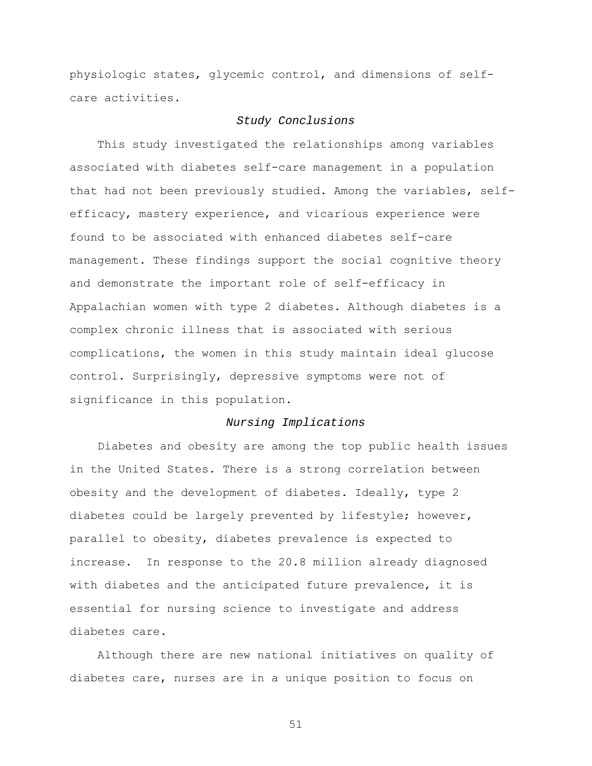physiologic states, glycemic control, and dimensions of selfcare activities.

# *Study Conclusions*

 This study investigated the relationships among variables associated with diabetes self-care management in a population that had not been previously studied. Among the variables, selfefficacy, mastery experience, and vicarious experience were found to be associated with enhanced diabetes self-care management. These findings support the social cognitive theory and demonstrate the important role of self-efficacy in Appalachian women with type 2 diabetes. Although diabetes is a complex chronic illness that is associated with serious complications, the women in this study maintain ideal glucose control. Surprisingly, depressive symptoms were not of significance in this population.

### *Nursing Implications*

Diabetes and obesity are among the top public health issues in the United States. There is a strong correlation between obesity and the development of diabetes. Ideally, type 2 diabetes could be largely prevented by lifestyle; however, parallel to obesity, diabetes prevalence is expected to increase. In response to the 20.8 million already diagnosed with diabetes and the anticipated future prevalence, it is essential for nursing science to investigate and address diabetes care.

 Although there are new national initiatives on quality of diabetes care, nurses are in a unique position to focus on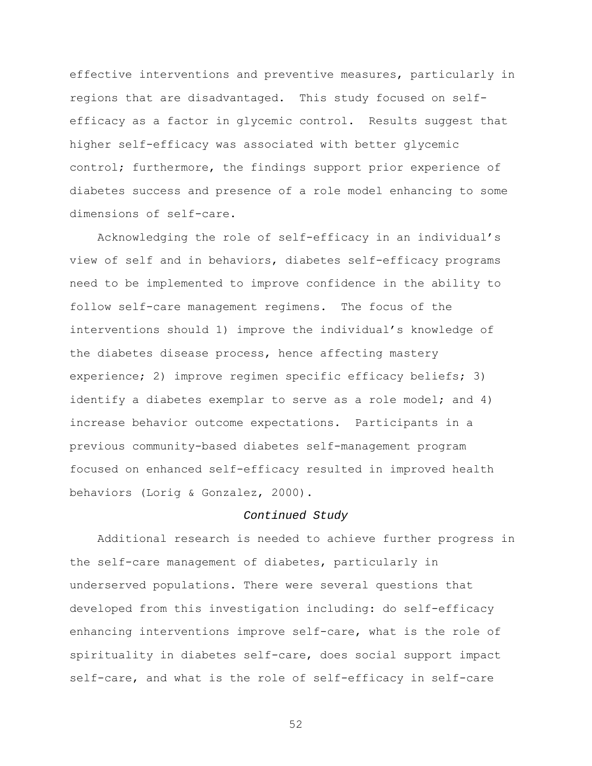effective interventions and preventive measures, particularly in regions that are disadvantaged. This study focused on selfefficacy as a factor in glycemic control. Results suggest that higher self-efficacy was associated with better glycemic control; furthermore, the findings support prior experience of diabetes success and presence of a role model enhancing to some dimensions of self-care.

 Acknowledging the role of self-efficacy in an individual's view of self and in behaviors, diabetes self-efficacy programs need to be implemented to improve confidence in the ability to follow self-care management regimens. The focus of the interventions should 1) improve the individual's knowledge of the diabetes disease process, hence affecting mastery experience; 2) improve regimen specific efficacy beliefs; 3) identify a diabetes exemplar to serve as a role model; and 4) increase behavior outcome expectations. Participants in a previous community-based diabetes self-management program focused on enhanced self-efficacy resulted in improved health behaviors (Lorig & Gonzalez, 2000).

# *Continued Study*

 Additional research is needed to achieve further progress in the self-care management of diabetes, particularly in underserved populations. There were several questions that developed from this investigation including: do self-efficacy enhancing interventions improve self-care, what is the role of spirituality in diabetes self-care, does social support impact self-care, and what is the role of self-efficacy in self-care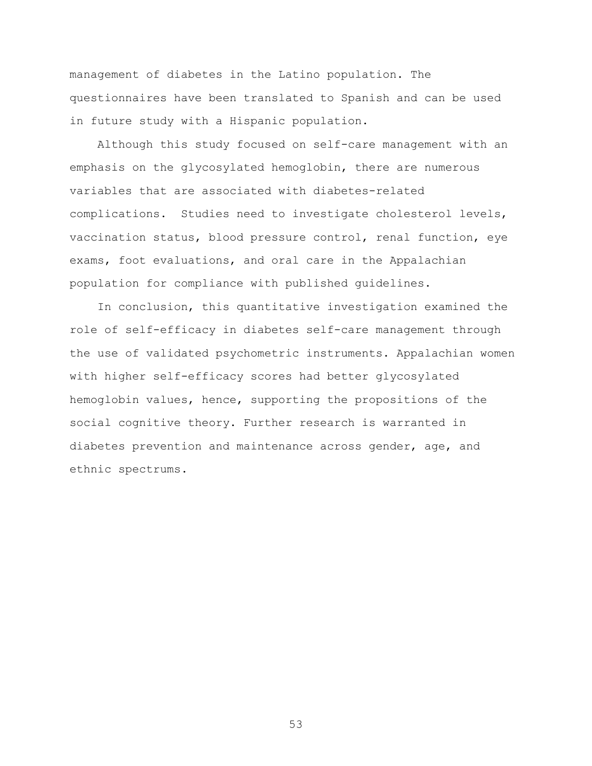management of diabetes in the Latino population. The questionnaires have been translated to Spanish and can be used in future study with a Hispanic population.

 Although this study focused on self-care management with an emphasis on the glycosylated hemoglobin, there are numerous variables that are associated with diabetes-related complications. Studies need to investigate cholesterol levels, vaccination status, blood pressure control, renal function, eye exams, foot evaluations, and oral care in the Appalachian population for compliance with published guidelines.

 In conclusion, this quantitative investigation examined the role of self-efficacy in diabetes self-care management through the use of validated psychometric instruments. Appalachian women with higher self-efficacy scores had better glycosylated hemoglobin values, hence, supporting the propositions of the social cognitive theory. Further research is warranted in diabetes prevention and maintenance across gender, age, and ethnic spectrums.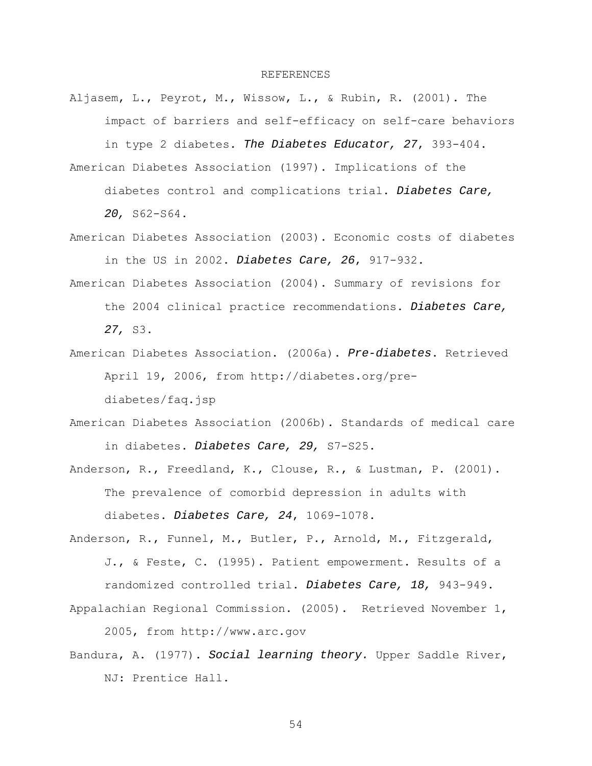#### REFERENCES

Aljasem, L., Peyrot, M., Wissow, L., & Rubin, R. (2001). The impact of barriers and self-efficacy on self-care behaviors

in type 2 diabetes. *The Diabetes Educator, 27*, 393-404. American Diabetes Association (1997). Implications of the

diabetes control and complications trial. *Diabetes Care,* 

*20,* S62-S64.

- American Diabetes Association (2003). Economic costs of diabetes in the US in 2002. *Diabetes Care, 26*, 917-932.
- American Diabetes Association (2004). Summary of revisions for the 2004 clinical practice recommendations. *Diabetes Care, 27,* S3.
- American Diabetes Association. (2006a). *Pre-diabetes*. Retrieved April 19, 2006, from [http://diabetes.org/pre](http://diabetes.org/pre-diabetes/faq.jsp)[diabetes/faq.jsp](http://diabetes.org/pre-diabetes/faq.jsp)
- American Diabetes Association (2006b). Standards of medical care in diabetes. *Diabetes Care, 29,* S7-S25.
- Anderson, R., Freedland, K., Clouse, R., & Lustman, P. (2001). The prevalence of comorbid depression in adults with diabetes. *Diabetes Care, 24*, 1069-1078.
- Anderson, R., Funnel, M., Butler, P., Arnold, M., Fitzgerald, J., & Feste, C. (1995). Patient empowerment. Results of a randomized controlled trial. *Diabetes Care, 18,* 943-949. Appalachian Regional Commission. (2005). Retrieved November 1,

2005, from http://www.arc.gov

Bandura, A. (1977). *Social learning theory.* Upper Saddle River, NJ: Prentice Hall.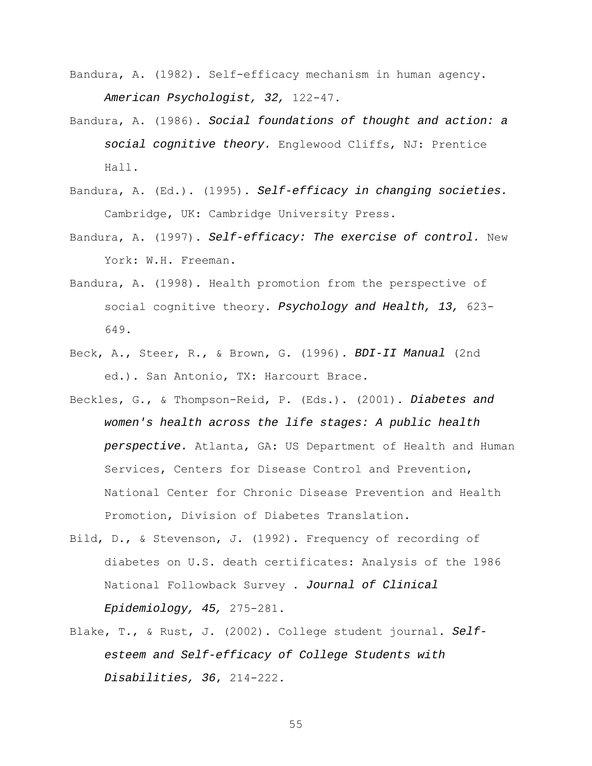- Bandura, A. (1982). Self-efficacy mechanism in human agency. *American Psychologist, 32,* 122-47.
- Bandura, A. (1986). *Social foundations of thought and action: a social cognitive theory.* Englewood Cliffs, NJ: Prentice Hall.
- Bandura, A. (Ed.). (1995). *Self-efficacy in changing societies.* Cambridge, UK: Cambridge University Press.
- Bandura, A. (1997). *Self-efficacy: The exercise of control.* New York: W.H. Freeman.
- Bandura, A. (1998). Health promotion from the perspective of social cognitive theory. *Psychology and Health, 13,* 623- 649.
- Beck, A., Steer, R., & Brown, G. (1996). *BDI-II Manual* (2nd ed.). San Antonio, TX: Harcourt Brace.
- Beckles, G., & Thompson-Reid, P. (Eds.). (2001). *Diabetes and women's health across the life stages: A public health perspective.* Atlanta, GA: US Department of Health and Human Services, Centers for Disease Control and Prevention, National Center for Chronic Disease Prevention and Health Promotion, Division of Diabetes Translation.
- Bild, D., & Stevenson, J. (1992). Frequency of recording of diabetes on U.S. death certificates: Analysis of the 1986 National Followback Survey . *Journal of Clinical Epidemiology, 45,* 275-281.
- Blake, T., & Rust, J. (2002). College student journal. *Selfesteem and Self-efficacy of College Students with Disabilities, 36*, 214-222.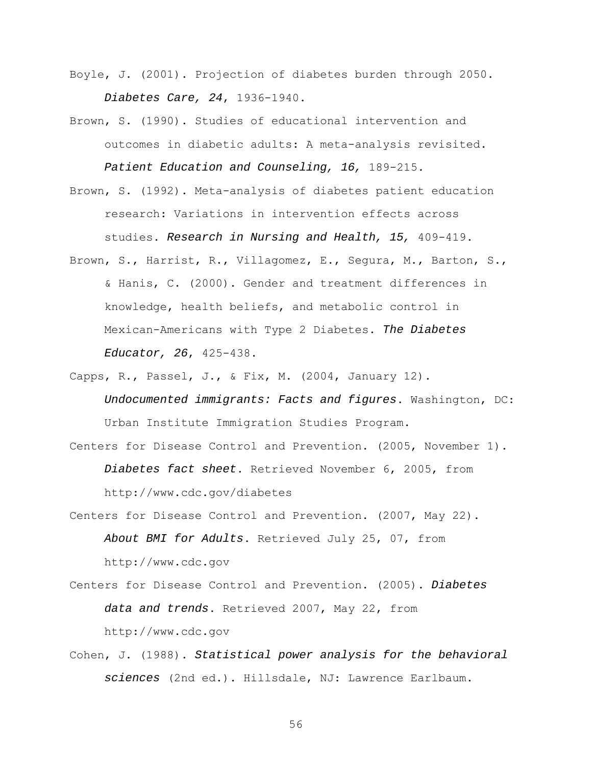- Boyle, J. (2001). Projection of diabetes burden through 2050. *Diabetes Care, 24*, 1936-1940.
- Brown, S. (1990). Studies of educational intervention and outcomes in diabetic adults: A meta-analysis revisited. *Patient Education and Counseling, 16,* 189-215.
- Brown, S. (1992). Meta-analysis of diabetes patient education research: Variations in intervention effects across studies. *Research in Nursing and Health, 15,* 409-419.
- Brown, S., Harrist, R., Villagomez, E., Segura, M., Barton, S., & Hanis, C. (2000). Gender and treatment differences in knowledge, health beliefs, and metabolic control in Mexican-Americans with Type 2 Diabetes. *The Diabetes Educator, 26*, 425-438.
- Capps, R., Passel, J., & Fix, M. (2004, January 12). *Undocumented immigrants: Facts and figures*. Washington, DC: Urban Institute Immigration Studies Program.
- Centers for Disease Control and Prevention. (2005, November 1). *Diabetes fact sheet*. Retrieved November 6, 2005, from <http://www.cdc.gov/diabetes>
- Centers for Disease Control and Prevention. (2007, May 22). *About BMI for Adults*. Retrieved July 25, 07, from [http://www.cdc.gov](http://www.cdc.gov/)
- Centers for Disease Control and Prevention. (2005). *Diabetes data and trends*. Retrieved 2007, May 22, from http://www.cdc.gov
- Cohen, J. (1988). *Statistical power analysis for the behavioral sciences* (2nd ed.). Hillsdale, NJ: Lawrence Earlbaum.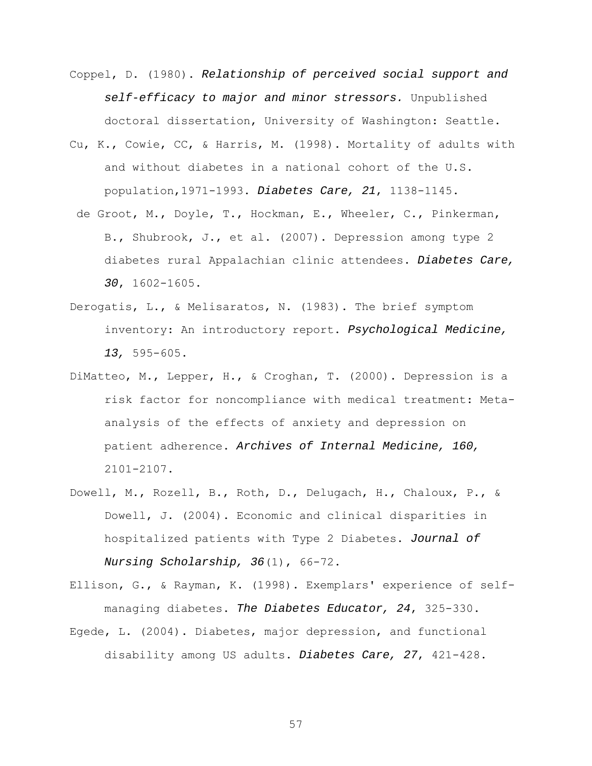- Coppel, D. (1980). *Relationship of perceived social support and self-efficacy to major and minor stressors.* Unpublished doctoral dissertation, University of Washington: Seattle.
- Cu, K., Cowie, CC, & Harris, M. (1998). Mortality of adults with and without diabetes in a national cohort of the U.S. population,1971-1993. *Diabetes Care, 21*, 1138-1145.
- de Groot, M., Doyle, T., Hockman, E., Wheeler, C., Pinkerman, B., Shubrook, J., et al. (2007). Depression among type 2 diabetes rural Appalachian clinic attendees. *Diabetes Care, 30*, 1602-1605.
- Derogatis, L., & Melisaratos, N. (1983). The brief symptom inventory: An introductory report. *Psychological Medicine, 13,* 595-605.
- DiMatteo, M., Lepper, H., & Croghan, T. (2000). Depression is a risk factor for noncompliance with medical treatment: Metaanalysis of the effects of anxiety and depression on patient adherence. *Archives of Internal Medicine, 160,* 2101-2107.
- Dowell, M., Rozell, B., Roth, D., Delugach, H., Chaloux, P., & Dowell, J. (2004). Economic and clinical disparities in hospitalized patients with Type 2 Diabetes. *Journal of Nursing Scholarship, 36*(1), 66-72.
- Ellison, G., & Rayman, K. (1998). Exemplars' experience of selfmanaging diabetes. *The Diabetes Educator, 24*, 325-330.
- Egede, L. (2004). Diabetes, major depression, and functional disability among US adults. *Diabetes Care, 27*, 421-428.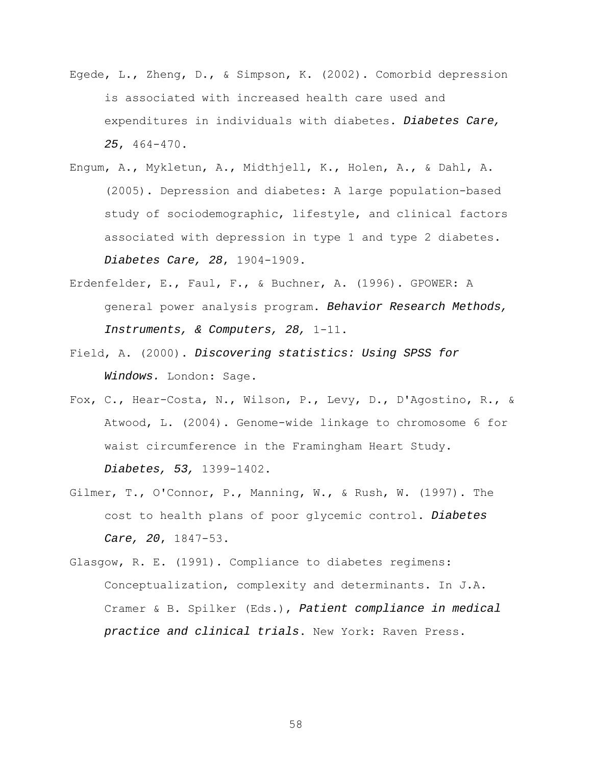- Egede, L., Zheng, D., & Simpson, K. (2002). Comorbid depression is associated with increased health care used and expenditures in individuals with diabetes. *Diabetes Care, 25*, 464-470.
- Engum, A., Mykletun, A., Midthjell, K., Holen, A., & Dahl, A. (2005). Depression and diabetes: A large population-based study of sociodemographic, lifestyle, and clinical factors associated with depression in type 1 and type 2 diabetes. *Diabetes Care, 28*, 1904-1909.
- Erdenfelder, E., Faul, F., & Buchner, A. (1996). GPOWER: A general power analysis program. *Behavior Research Methods, Instruments, & Computers, 28,* 1-11.
- Field, A. (2000). *Discovering statistics: Using SPSS for Windows.* London: Sage.
- Fox, C., Hear-Costa, N., Wilson, P., Levy, D., D'Agostino, R., & Atwood, L. (2004). Genome-wide linkage to chromosome 6 for waist circumference in the Framingham Heart Study. *Diabetes, 53,* 1399-1402.
- Gilmer, T., O'Connor, P., Manning, W., & Rush, W. (1997). The cost to health plans of poor glycemic control. *Diabetes Care, 20*, 1847-53.
- Glasgow, R. E. (1991). Compliance to diabetes regimens: Conceptualization, complexity and determinants. In J.A. Cramer & B. Spilker (Eds.), *Patient compliance in medical practice and clinical trials*. New York: Raven Press.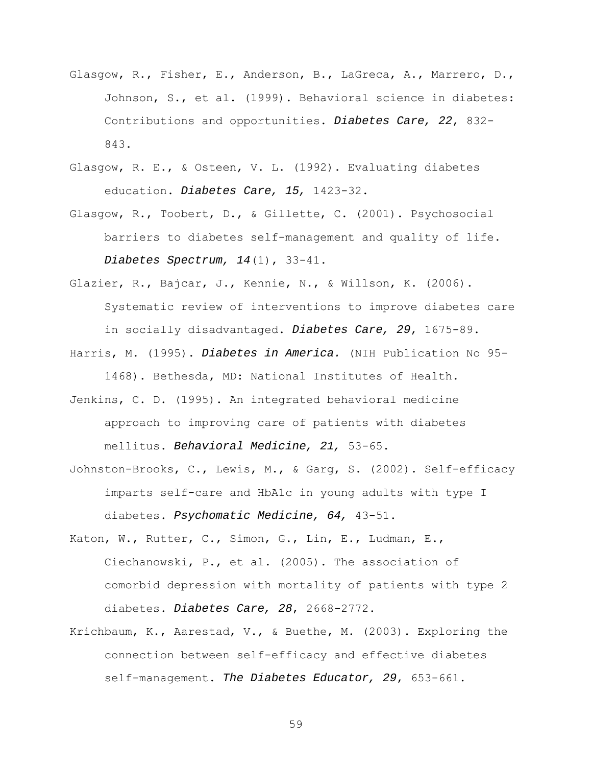- Glasgow, R., Fisher, E., Anderson, B., LaGreca, A., Marrero, D., Johnson, S., et al. (1999). Behavioral science in diabetes: Contributions and opportunities. *Diabetes Care, 22*, 832- 843.
- Glasgow, R. E., & Osteen, V. L. (1992). Evaluating diabetes education. *Diabetes Care, 15,* 1423-32.
- Glasgow, R., Toobert, D., & Gillette, C. (2001). Psychosocial barriers to diabetes self-management and quality of life. *Diabetes Spectrum, 14*(1), 33-41.
- Glazier, R., Bajcar, J., Kennie, N., & Willson, K. (2006). Systematic review of interventions to improve diabetes care in socially disadvantaged. *Diabetes Care, 29*, 1675-89.
- Harris, M. (1995). *Diabetes in America.* (NIH Publication No 95- 1468). Bethesda, MD: National Institutes of Health.
- Jenkins, C. D. (1995). An integrated behavioral medicine approach to improving care of patients with diabetes mellitus. *Behavioral Medicine, 21,* 53-65.
- Johnston-Brooks, C., Lewis, M., & Garg, S. (2002). Self-efficacy imparts self-care and HbA1c in young adults with type I diabetes. *Psychomatic Medicine, 64,* 43-51.
- Katon, W., Rutter, C., Simon, G., Lin, E., Ludman, E., Ciechanowski, P., et al. (2005). The association of comorbid depression with mortality of patients with type 2 diabetes. *Diabetes Care, 28*, 2668-2772.
- Krichbaum, K., Aarestad, V., & Buethe, M. (2003). Exploring the connection between self-efficacy and effective diabetes self-management. *The Diabetes Educator, 29*, 653-661.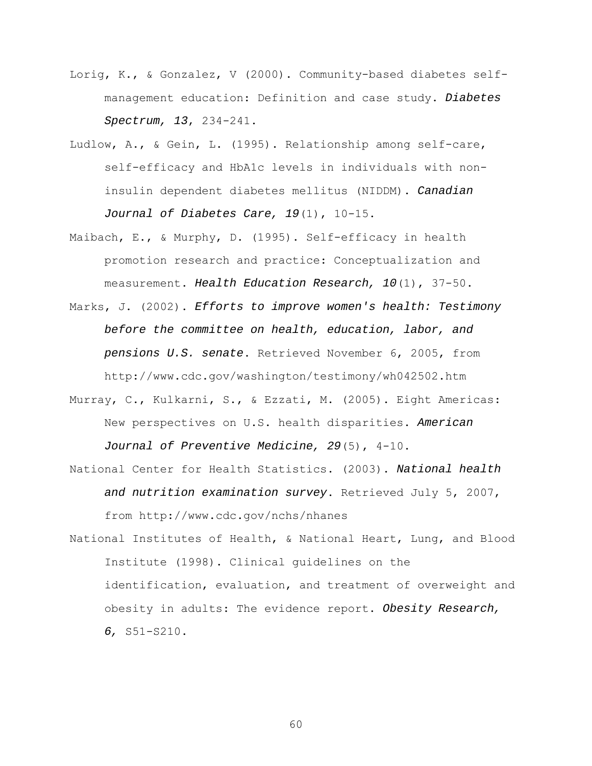- Lorig, K., & Gonzalez, V (2000). Community-based diabetes selfmanagement education: Definition and case study. *Diabetes Spectrum, 13*, 234-241.
- Ludlow, A., & Gein, L. (1995). Relationship among self-care, self-efficacy and HbA1c levels in individuals with noninsulin dependent diabetes mellitus (NIDDM). *Canadian Journal of Diabetes Care, 19*(1), 10-15.
- Maibach, E., & Murphy, D. (1995). Self-efficacy in health promotion research and practice: Conceptualization and measurement. *Health Education Research, 10*(1), 37-50.
- Marks, J. (2002). *Efforts to improve women's health: Testimony before the committee on health, education, labor, and pensions U.S. senate*. Retrieved November 6, 2005, from http://www.cdc.gov/washington/testimony/wh042502.htm
- Murray, C., Kulkarni, S., & Ezzati, M. (2005). Eight Americas: New perspectives on U.S. health disparities. *American Journal of Preventive Medicine, 29*(5), 4-10.
- National Center for Health Statistics. (2003). *National health and nutrition examination survey*. Retrieved July 5, 2007, from http://www.cdc.gov/nchs/nhanes
- National Institutes of Health, & National Heart, Lung, and Blood Institute (1998). Clinical guidelines on the identification, evaluation, and treatment of overweight and obesity in adults: The evidence report. *Obesity Research, 6,* S51-S210.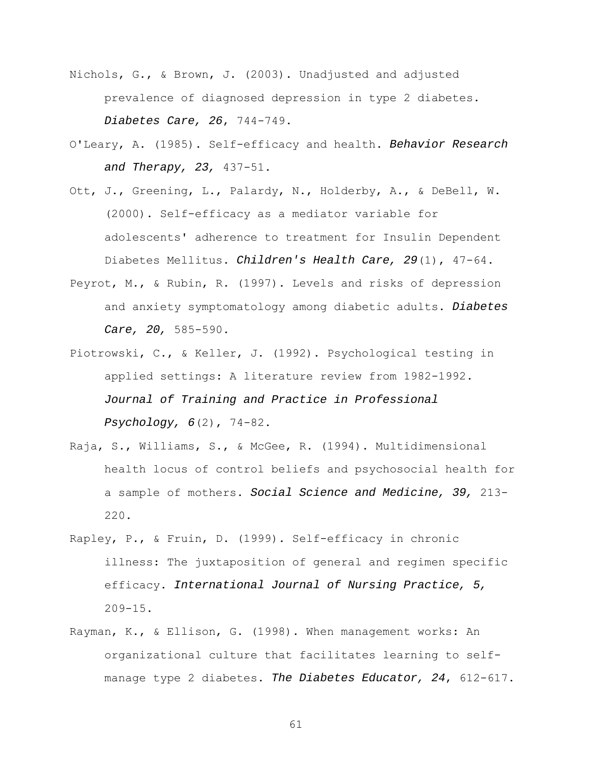- Nichols, G., & Brown, J. (2003). Unadjusted and adjusted prevalence of diagnosed depression in type 2 diabetes. *Diabetes Care, 26*, 744-749.
- O'Leary, A. (1985). Self-efficacy and health. *Behavior Research and Therapy, 23,* 437-51.
- Ott, J., Greening, L., Palardy, N., Holderby, A., & DeBell, W. (2000). Self-efficacy as a mediator variable for adolescents' adherence to treatment for Insulin Dependent Diabetes Mellitus. *Children's Health Care, 29*(1), 47-64.
- Peyrot, M., & Rubin, R. (1997). Levels and risks of depression and anxiety symptomatology among diabetic adults. *Diabetes Care, 20,* 585-590.
- Piotrowski, C., & Keller, J. (1992). Psychological testing in applied settings: A literature review from 1982-1992. *Journal of Training and Practice in Professional Psychology, 6*(2), 74-82.
- Raja, S., Williams, S., & McGee, R. (1994). Multidimensional health locus of control beliefs and psychosocial health for a sample of mothers. *Social Science and Medicine, 39,* 213- 220.
- Rapley, P., & Fruin, D. (1999). Self-efficacy in chronic illness: The juxtaposition of general and regimen specific efficacy. *International Journal of Nursing Practice, 5,* 209-15.
- Rayman, K., & Ellison, G. (1998). When management works: An organizational culture that facilitates learning to selfmanage type 2 diabetes. *The Diabetes Educator, 24*, 612-617.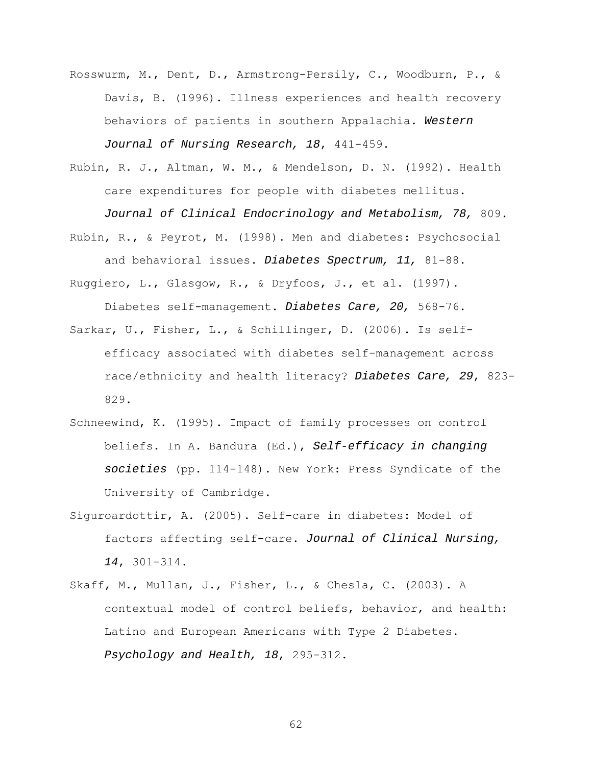- Rosswurm, M., Dent, D., Armstrong-Persily, C., Woodburn, P., & Davis, B. (1996). Illness experiences and health recovery behaviors of patients in southern Appalachia. *Western Journal of Nursing Research, 18*, 441-459.
- Rubin, R. J., Altman, W. M., & Mendelson, D. N. (1992). Health care expenditures for people with diabetes mellitus. *Journal of Clinical Endocrinology and Metabolism, 78,* 809.
- Rubin, R., & Peyrot, M. (1998). Men and diabetes: Psychosocial and behavioral issues. *Diabetes Spectrum, 11,* 81-88.
- Ruggiero, L., Glasgow, R., & Dryfoos, J., et al. (1997). Diabetes self-management. *Diabetes Care, 20,* 568-76.
- Sarkar, U., Fisher, L., & Schillinger, D. (2006). Is selfefficacy associated with diabetes self-management across race/ethnicity and health literacy? *Diabetes Care, 29*, 823- 829.
- Schneewind, K. (1995). Impact of family processes on control beliefs. In A. Bandura (Ed.), *Self-efficacy in changing societies* (pp. 114-148). New York: Press Syndicate of the University of Cambridge.
- Siguroardottir, A. (2005). Self-care in diabetes: Model of factors affecting self-care. *Journal of Clinical Nursing, 14*, 301-314.
- Skaff, M., Mullan, J., Fisher, L., & Chesla, C. (2003). A contextual model of control beliefs, behavior, and health: Latino and European Americans with Type 2 Diabetes. *Psychology and Health, 18*, 295-312.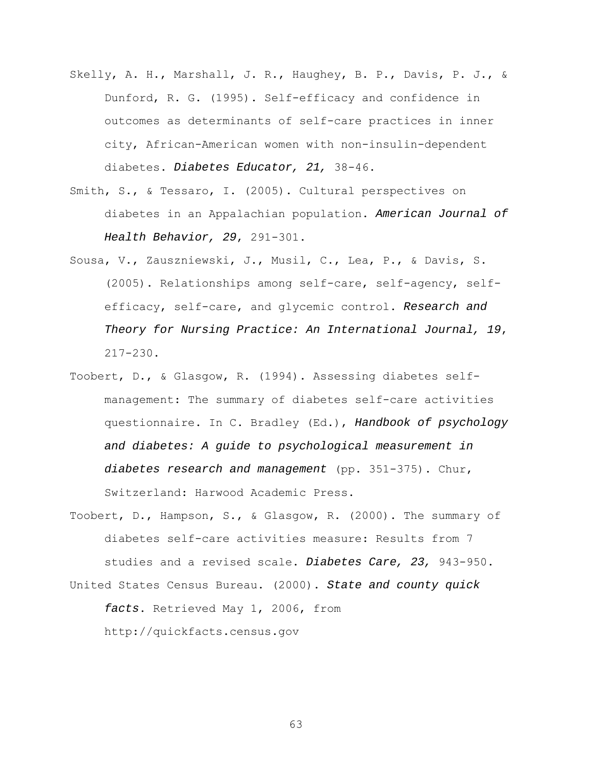- Skelly, A. H., Marshall, J. R., Haughey, B. P., Davis, P. J., & Dunford, R. G. (1995). Self-efficacy and confidence in outcomes as determinants of self-care practices in inner city, African-American women with non-insulin-dependent diabetes. *Diabetes Educator, 21,* 38-46.
- Smith, S., & Tessaro, I. (2005). Cultural perspectives on diabetes in an Appalachian population. *American Journal of Health Behavior, 29*, 291-301.
- Sousa, V., Zauszniewski, J., Musil, C., Lea, P., & Davis, S. (2005). Relationships among self-care, self-agency, selfefficacy, self-care, and glycemic control. *Research and Theory for Nursing Practice: An International Journal, 19*, 217-230.
- Toobert, D., & Glasgow, R. (1994). Assessing diabetes selfmanagement: The summary of diabetes self-care activities questionnaire. In C. Bradley (Ed.), *Handbook of psychology and diabetes: A guide to psychological measurement in diabetes research and management* (pp. 351-375). Chur, Switzerland: Harwood Academic Press.
- Toobert, D., Hampson, S., & Glasgow, R. (2000). The summary of diabetes self-care activities measure: Results from 7 studies and a revised scale. *Diabetes Care, 23,* 943-950. United States Census Bureau. (2000). *State and county quick facts*. Retrieved May 1, 2006, from [http://quickfacts.census.gov](http://quickfacts.census.gov/)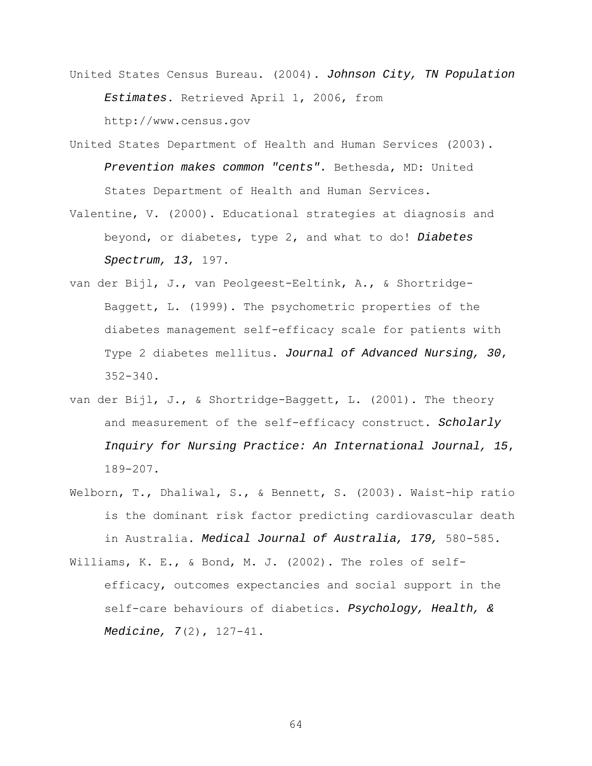- United States Census Bureau. (2004). *Johnson City, TN Population Estimates*. Retrieved April 1, 2006, from http://www.census.gov
- United States Department of Health and Human Services (2003). *Prevention makes common "cents".* Bethesda, MD: United States Department of Health and Human Services.
- Valentine, V. (2000). Educational strategies at diagnosis and beyond, or diabetes, type 2, and what to do! *Diabetes Spectrum, 13*, 197.
- van der Bijl, J., van Peolgeest-Eeltink, A., & Shortridge-Baggett, L. (1999). The psychometric properties of the diabetes management self-efficacy scale for patients with Type 2 diabetes mellitus. *Journal of Advanced Nursing, 30*, 352-340.
- van der Bijl, J., & Shortridge-Baggett, L. (2001). The theory and measurement of the self-efficacy construct. *Scholarly Inquiry for Nursing Practice: An International Journal, 15*, 189-207.
- Welborn, T., Dhaliwal, S., & Bennett, S. (2003). Waist-hip ratio is the dominant risk factor predicting cardiovascular death in Australia. *Medical Journal of Australia, 179,* 580-585.
- Williams, K. E., & Bond, M. J. (2002). The roles of selfefficacy, outcomes expectancies and social support in the self-care behaviours of diabetics. *Psychology, Health, & Medicine, 7*(2), 127-41.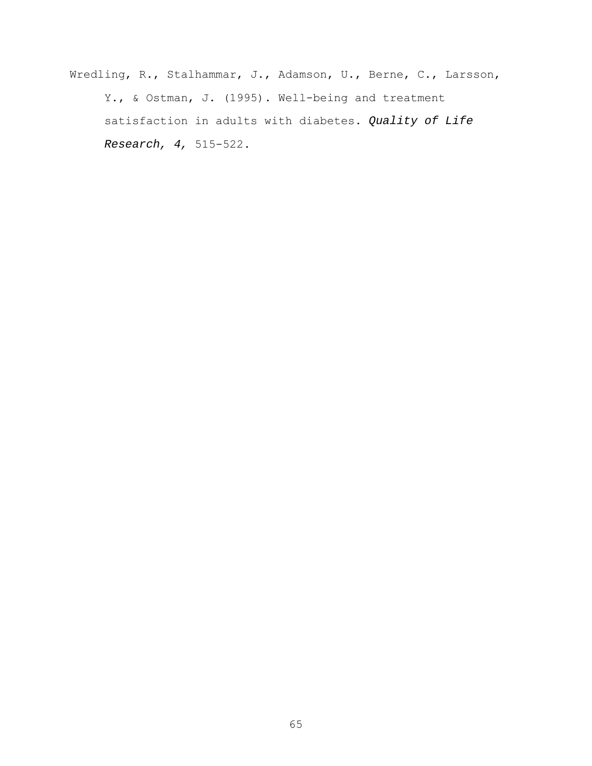Wredling, R., Stalhammar, J., Adamson, U., Berne, C., Larsson, Y., & Ostman, J. (1995). Well-being and treatment satisfaction in adults with diabetes. *Quality of Life Research, 4,* 515-522.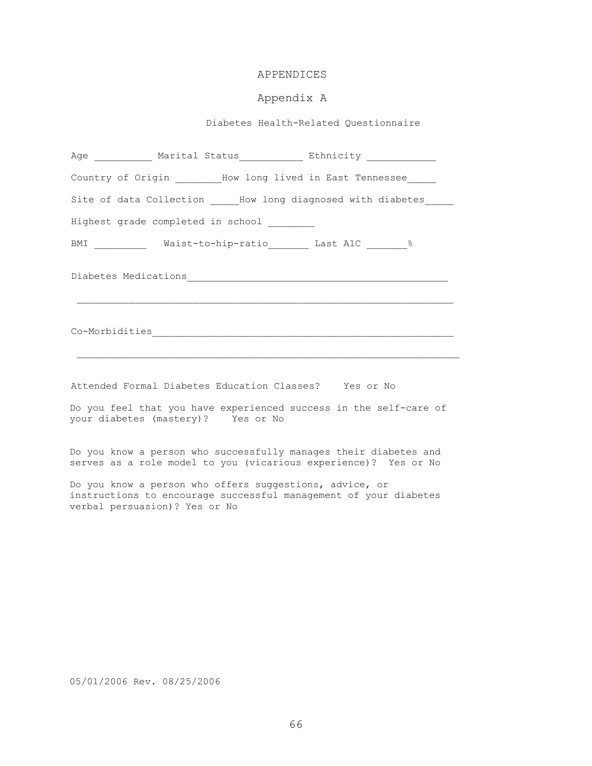# APPENDICES

# Appendix A

Diabetes Health-Related Questionnaire

|                                    |                                            | Age ____________ Marital Status_____________ Ethnicity ______________ |
|------------------------------------|--------------------------------------------|-----------------------------------------------------------------------|
|                                    |                                            | Country of Origin _________How long lived in East Tennessee           |
|                                    |                                            | Site of data Collection How long diagnosed with diabetes              |
|                                    | Highest grade completed in school ________ |                                                                       |
|                                    |                                            | BMI __________ Waist-to-hip-ratio _______ Last A1C _________ 8        |
|                                    |                                            |                                                                       |
|                                    |                                            |                                                                       |
|                                    |                                            |                                                                       |
|                                    |                                            | Attended Formal Diabetes Education Classes? Yes or No                 |
|                                    |                                            | Do you feel that you have experienced success in the self-care of     |
| your diabetes (mastery)? Yes or No |                                            |                                                                       |

Do you know a person who offers suggestions, advice, or instructions to encourage successful management of your diabetes verbal persuasion)? Yes or No

serves as a role model to you (vicarious experience)? Yes or No

05/01/2006 Rev. 08/25/2006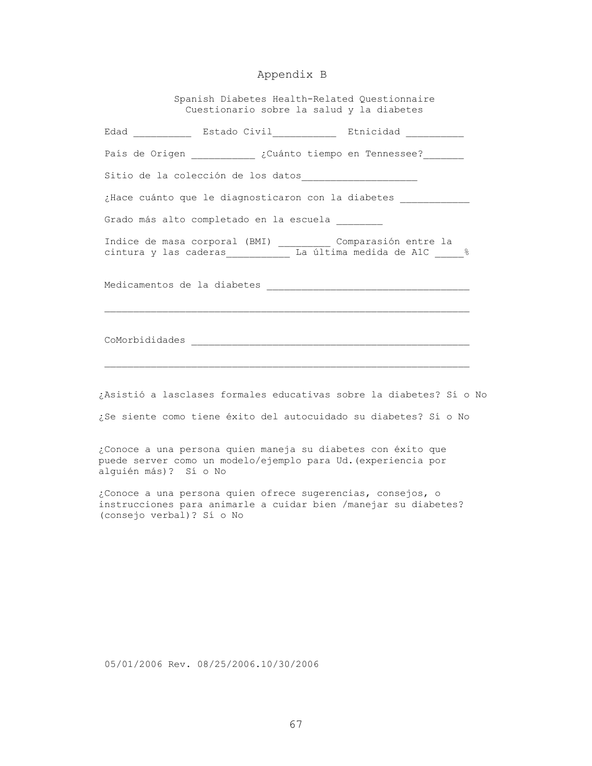# Appendix B

 Spanish Diabetes Health-Related Questionnaire Cuestionario sobre la salud y la diabetes

|                       |                                         | Edad <b>Estado Civil Etnicidad</b>                                                                                                     |
|-----------------------|-----------------------------------------|----------------------------------------------------------------------------------------------------------------------------------------|
|                       |                                         | País de Origen __________ ¿Cuánto tiempo en Tennessee?                                                                                 |
|                       |                                         |                                                                                                                                        |
|                       |                                         | ¿Hace cuánto que le diagnosticaron con la diabetes                                                                                     |
|                       | Grado más alto completado en la escuela |                                                                                                                                        |
|                       |                                         | Indice de masa corporal (BMI) ___________ Comparasión entre la<br>cintura y las caderas ___________ La última medida de A1C __ %       |
|                       |                                         |                                                                                                                                        |
|                       |                                         |                                                                                                                                        |
|                       |                                         |                                                                                                                                        |
|                       |                                         | Asistió a lasclases formales educativas sobre la diabetes? Sí o No<br>¿Se siente como tiene éxito del autocuidado su diabetes? Sí o No |
| alguién más)? Sí o No |                                         | ¿Conoce a una persona quien maneja su diabetes con éxito que<br>puede server como un modelo/ejemplo para Ud. (experiencia por          |

05/01/2006 Rev. 08/25/2006.10/30/2006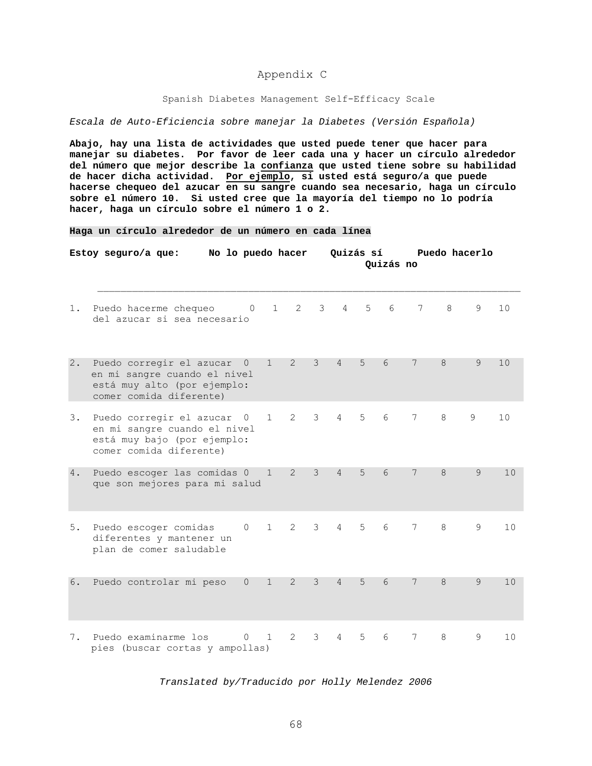# Appendix C

#### Spanish Diabetes Management Self-Efficacy Scale

*Escala de Auto-Eficiencia sobre manejar la Diabetes (Versión Española)* 

**Abajo, hay una lista de actividades que usted puede tener que hacer para manejar su diabetes. Por favor de leer cada una y hacer un círculo alrededor del número que mejor describe la confianza que usted tiene sobre su habilidad de hacer dicha actividad. Por ejemplo, si usted está seguro/a que puede hacerse chequeo del azucar en su sangre cuando sea necesario, haga un círculo sobre el número 10. Si usted cree que la mayoría del tiempo no lo podría hacer, haga un círculo sobre el número 1 o 2.** 

#### **Haga un círculo alrededor de un número en cada línea**

|    | Estoy seguro/a que:                                                                                                  | No lo puedo hacer |              |                |                |                 |       | Quizás sí<br>Quizás no |                 | Puedo hacerlo |               |    |
|----|----------------------------------------------------------------------------------------------------------------------|-------------------|--------------|----------------|----------------|-----------------|-------|------------------------|-----------------|---------------|---------------|----|
| 1. | Puedo hacerme chequeo<br>del azucar si sea necesario                                                                 | $\overline{0}$    | $1 \quad$    |                | $2 \quad 3$    | $4 \quad$       | $5 -$ | 6                      | 7               | 8             | 9             | 10 |
| 2. | Puedo corregir el azucar<br>en mi sangre cuando el nivel<br>está muy alto (por ejemplo:<br>comer comida diferente)   | $\circ$           | $\mathbf{1}$ | $\overline{2}$ | 3              | $\overline{4}$  | 5     | 6                      | 7               | 8             | 9             | 10 |
| 3. | Puedo corregir el azucar 0<br>en mi sangre cuando el nivel<br>está muy bajo (por ejemplo:<br>comer comida diferente) |                   | $\mathbf{1}$ | $\mathbf{2}$   | 3 <sup>7</sup> | $4\overline{ }$ | 5     | 6                      | 7               | 8             | 9             | 10 |
| 4. | Puedo escoger las comidas 0<br>que son mejores para mi salud                                                         |                   | $\mathbf 1$  | $\overline{2}$ | $\mathcal{E}$  | $\overline{4}$  | 5     | 6                      | 7               | 8             | 9             | 10 |
| 5. | Puedo escoger comidas<br>diferentes y mantener un<br>plan de comer saludable                                         | $\circ$           | $\mathbf{1}$ | $2^{\circ}$    | 3 <sup>7</sup> | $4\degree$      | $5 -$ | 6                      | 7               | 8             | 9             | 10 |
| 6. | Puedo controlar mi peso                                                                                              | $\Omega$          | $\mathbf{1}$ | $\overline{2}$ | $\mathcal{E}$  | $\overline{4}$  | 5     | 6                      | $7\phantom{.0}$ | 8             | $\mathcal{Q}$ | 10 |
| 7. | Puedo examinarme los<br>pies (buscar cortas y ampollas)                                                              | $\circ$           | $\mathbf{1}$ | $\overline{2}$ | 3              | 4               | 5     | 6                      | 7               | 8             | 9             | 10 |

#### *Translated by/Traducido por Holly Melendez 2006*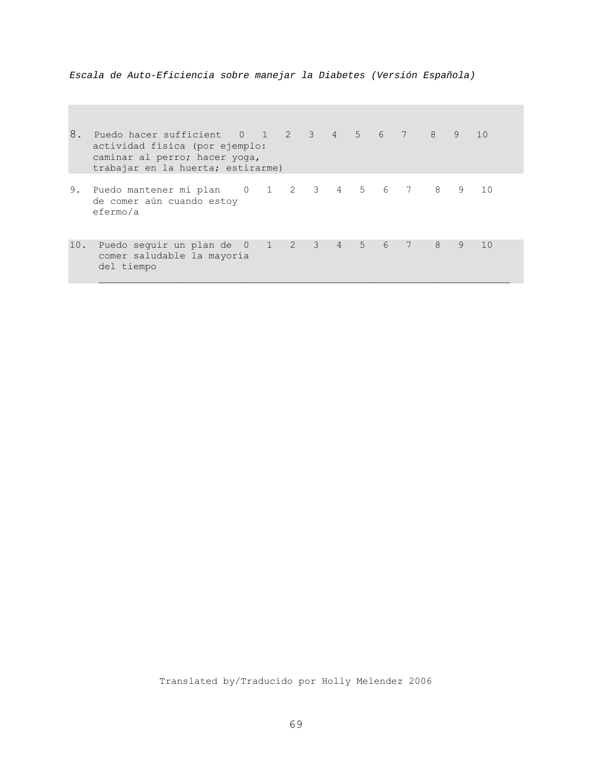*Escala de Auto-Eficiencia sobre manejar la Diabetes (Versión Española)* 

| 8.  | Puedo hacer sufficient 0 1 2 3 4 5 6 7 8<br>actividad física (por ejemplo:<br>caminar al perro; hacer yoga,<br>trabajar en la huerta; estirarme) |  |  |  |      |   | 9 | 10 |
|-----|--------------------------------------------------------------------------------------------------------------------------------------------------|--|--|--|------|---|---|----|
| 9.  | Puedo mantener mi plan 0 1 2 3 4 5 6 7 8<br>de comer aún cuando estoy<br>efermo/a                                                                |  |  |  |      |   | 9 | 10 |
| 10. | Puedo seguir un plan de 0 1 2 3 4 5 6<br>comer saludable la mayoría<br>del tiempo                                                                |  |  |  | $-7$ | 8 | 9 | 10 |

Translated by/Traducido por Holly Melendez 2006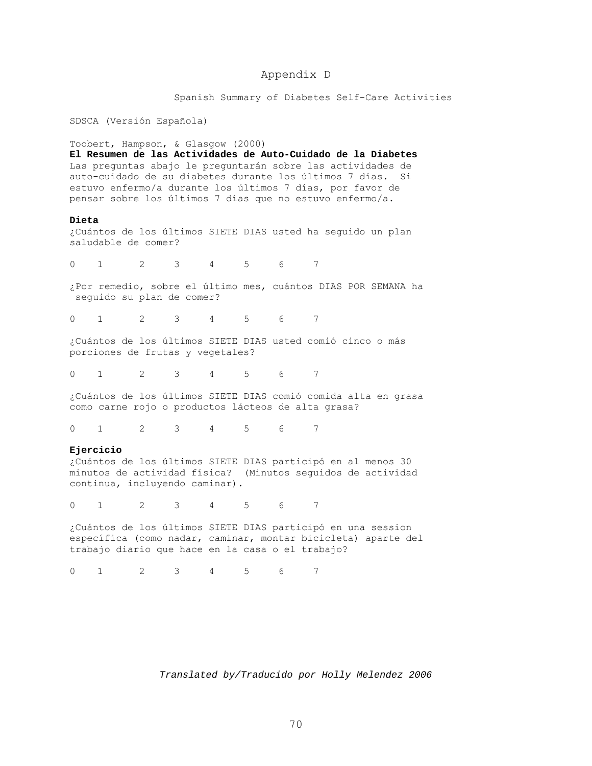### Appendix D

Spanish Summary of Diabetes Self-Care Activities

SDSCA (Versión Española)

Toobert, Hampson, & Glasgow (2000)

**El Resumen de las Actividades de Auto-Cuidado de la Diabetes**  Las preguntas abajo le preguntarán sobre las actividades de auto-cuidado de su diabetes durante los últimos 7 días. Si estuvo enfermo/a durante los últimos 7 días, por favor de pensar sobre los últimos 7 días que no estuvo enfermo/a.

#### **Dieta**

¿Cuántos de los últimos SIETE DIAS usted ha seguido un plan saludable de comer?

0 1 2 3 4 5 6 7

¿Por remedio, sobre el último mes, cuántos DIAS POR SEMANA ha seguido su plan de comer?

0 1 2 3 4 5 6 7

¿Cuántos de los últimos SIETE DIAS usted comió cinco o más porciones de frutas y vegetales?

0 1 2 3 4 5 6 7

¿Cuántos de los últimos SIETE DIAS comió comida alta en grasa como carne rojo o productos lácteos de alta grasa?

0 1 2 3 4 5 6 7

#### **Ejercicio**

¿Cuántos de los últimos SIETE DIAS participó en al menos 30 minutos de actividad física? (Minutos seguidos de actividad continua, incluyendo caminar).

0 1 2 3 4 5 6 7

¿Cuántos de los últimos SIETE DIAS participó en una session específica (como nadar, caminar, montar bicicleta) aparte del trabajo diario que hace en la casa o el trabajo?

0 1 2 3 4 5 6 7

*Translated by/Traducido por Holly Melendez 2006*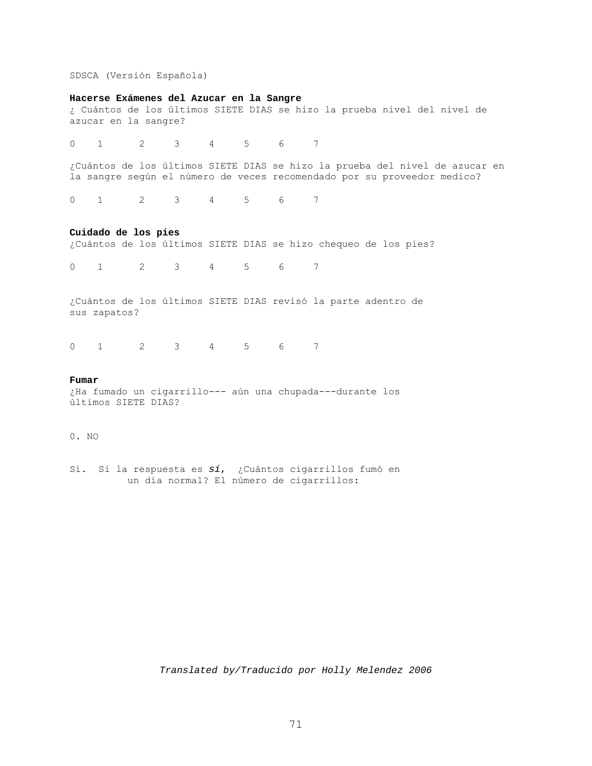SDSCA (Versión Española)

#### **Hacerse Exámenes del Azucar en la Sangre**

¿ Cuántos de los últimos SIETE DIAS se hizo la prueba nivel del nivel de azucar en la sangre?

0 1 2 3 4 5 6 7

¿Cuántos de los últimos SIETE DIAS se hizo la prueba del nivel de azucar en la sangre según el número de veces recomendado por su proveedor medico?

0 1 2 3 4 5 6 7

#### **Cuidado de los pies**

¿Cuántos de los últimos SIETE DIAS se hizo chequeo de los pies?

0 1 2 3 4 5 6 7

¿Cuántos de los últimos SIETE DIAS revisó la parte adentro de sus zapatos?

0 1 2 3 4 5 6 7

#### **Fumar**

¿Ha fumado un cigarrillo--- aún una chupada---durante los últimos SIETE DIAS?

### 0. NO

Sí. Si la respuesta es *sí*, ¿Cuántos cigarrillos fumó en un día normal? El número de cigarrillos:

*Translated by/Traducido por Holly Melendez 2006*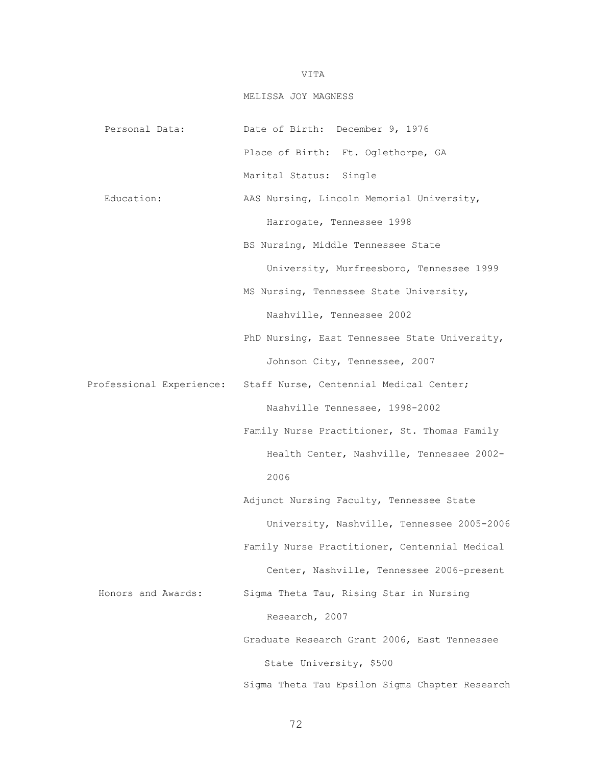## VITA

## MELISSA JOY MAGNESS

Personal Data: Date of Birth: December 9, 1976 Place of Birth: Ft. Oglethorpe, GA Marital Status: Single Education: AAS Nursing, Lincoln Memorial University, Harrogate, Tennessee 1998 BS Nursing, Middle Tennessee State University, Murfreesboro, Tennessee 1999 MS Nursing, Tennessee State University, Nashville, Tennessee 2002 PhD Nursing, East Tennessee State University, Johnson City, Tennessee, 2007 Professional Experience: Staff Nurse, Centennial Medical Center; Nashville Tennessee, 1998-2002 Family Nurse Practitioner, St. Thomas Family Health Center, Nashville, Tennessee 2002- 2006 Adjunct Nursing Faculty, Tennessee State University, Nashville, Tennessee 2005-2006 Family Nurse Practitioner, Centennial Medical Center, Nashville, Tennessee 2006-present Honors and Awards: Sigma Theta Tau, Rising Star in Nursing Research, 2007 Graduate Research Grant 2006, East Tennessee State University, \$500 Sigma Theta Tau Epsilon Sigma Chapter Research

72